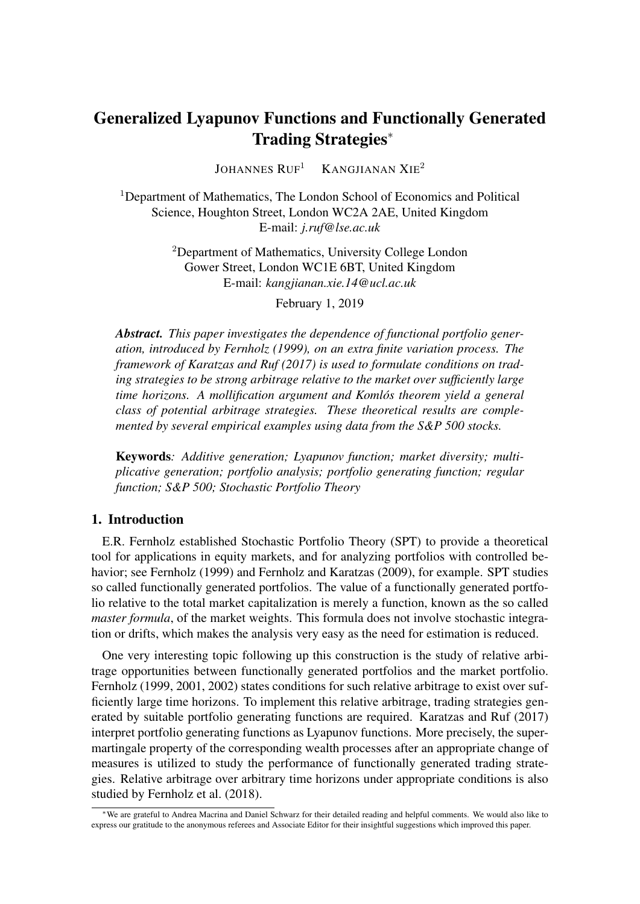# Generalized Lyapunov Functions and Functionally Generated Trading Strategies<sup>∗</sup>

JOHANNES  $RUF<sup>1</sup>$  KANGJIANAN XIE<sup>2</sup>

<sup>1</sup>Department of Mathematics, The London School of Economics and Political Science, Houghton Street, London WC2A 2AE, United Kingdom E-mail: *j.ruf@lse.ac.uk*

> <sup>2</sup>Department of Mathematics, University College London Gower Street, London WC1E 6BT, United Kingdom E-mail: *kangjianan.xie.14@ucl.ac.uk*

> > February 1, 2019

*Abstract. This paper investigates the dependence of functional portfolio generation, introduced by Fernholz (1999), on an extra finite variation process. The framework of Karatzas and Ruf (2017) is used to formulate conditions on trading strategies to be strong arbitrage relative to the market over sufficiently large time horizons. A mollification argument and Komlos theorem yield a general ´ class of potential arbitrage strategies. These theoretical results are complemented by several empirical examples using data from the S&P 500 stocks.*

Keywords*: Additive generation; Lyapunov function; market diversity; multiplicative generation; portfolio analysis; portfolio generating function; regular function; S&P 500; Stochastic Portfolio Theory*

## 1. Introduction

E.R. Fernholz established Stochastic Portfolio Theory (SPT) to provide a theoretical tool for applications in equity markets, and for analyzing portfolios with controlled behavior; see Fernholz (1999) and Fernholz and Karatzas (2009), for example. SPT studies so called functionally generated portfolios. The value of a functionally generated portfolio relative to the total market capitalization is merely a function, known as the so called *master formula*, of the market weights. This formula does not involve stochastic integration or drifts, which makes the analysis very easy as the need for estimation is reduced.

One very interesting topic following up this construction is the study of relative arbitrage opportunities between functionally generated portfolios and the market portfolio. Fernholz (1999, 2001, 2002) states conditions for such relative arbitrage to exist over sufficiently large time horizons. To implement this relative arbitrage, trading strategies generated by suitable portfolio generating functions are required. Karatzas and Ruf (2017) interpret portfolio generating functions as Lyapunov functions. More precisely, the supermartingale property of the corresponding wealth processes after an appropriate change of measures is utilized to study the performance of functionally generated trading strategies. Relative arbitrage over arbitrary time horizons under appropriate conditions is also studied by Fernholz et al. (2018).

<sup>∗</sup>We are grateful to Andrea Macrina and Daniel Schwarz for their detailed reading and helpful comments. We would also like to express our gratitude to the anonymous referees and Associate Editor for their insightful suggestions which improved this paper.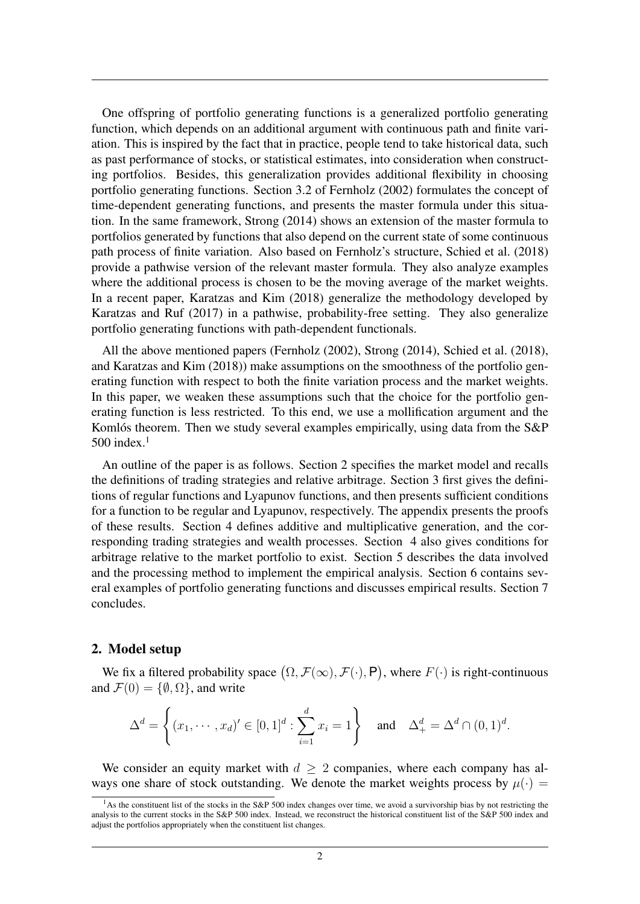One offspring of portfolio generating functions is a generalized portfolio generating function, which depends on an additional argument with continuous path and finite variation. This is inspired by the fact that in practice, people tend to take historical data, such as past performance of stocks, or statistical estimates, into consideration when constructing portfolios. Besides, this generalization provides additional flexibility in choosing portfolio generating functions. Section 3.2 of Fernholz (2002) formulates the concept of time-dependent generating functions, and presents the master formula under this situation. In the same framework, Strong (2014) shows an extension of the master formula to portfolios generated by functions that also depend on the current state of some continuous path process of finite variation. Also based on Fernholz's structure, Schied et al. (2018) provide a pathwise version of the relevant master formula. They also analyze examples where the additional process is chosen to be the moving average of the market weights. In a recent paper, Karatzas and Kim (2018) generalize the methodology developed by Karatzas and Ruf (2017) in a pathwise, probability-free setting. They also generalize portfolio generating functions with path-dependent functionals.

All the above mentioned papers (Fernholz (2002), Strong (2014), Schied et al. (2018), and Karatzas and Kim (2018)) make assumptions on the smoothness of the portfolio generating function with respect to both the finite variation process and the market weights. In this paper, we weaken these assumptions such that the choice for the portfolio generating function is less restricted. To this end, we use a mollification argument and the Komlós theorem. Then we study several examples empirically, using data from the  $S\&P$ 500 index $1$ 

An outline of the paper is as follows. Section 2 specifies the market model and recalls the definitions of trading strategies and relative arbitrage. Section 3 first gives the definitions of regular functions and Lyapunov functions, and then presents sufficient conditions for a function to be regular and Lyapunov, respectively. The appendix presents the proofs of these results. Section 4 defines additive and multiplicative generation, and the corresponding trading strategies and wealth processes. Section 4 also gives conditions for arbitrage relative to the market portfolio to exist. Section 5 describes the data involved and the processing method to implement the empirical analysis. Section 6 contains several examples of portfolio generating functions and discusses empirical results. Section 7 concludes.

#### 2. Model setup

We fix a filtered probability space  $(\Omega, \mathcal{F}(\infty), \mathcal{F}(\cdot), P)$ , where  $F(\cdot)$  is right-continuous and  $\mathcal{F}(0) = \{\emptyset, \Omega\}$ , and write

$$
\Delta^{d} = \left\{ (x_1, \cdots, x_d)' \in [0, 1]^d : \sum_{i=1}^d x_i = 1 \right\} \text{ and } \Delta^{d}_{+} = \Delta^{d} \cap (0, 1)^d.
$$

We consider an equity market with  $d \geq 2$  companies, where each company has always one share of stock outstanding. We denote the market weights process by  $\mu(\cdot)$  =

<sup>&</sup>lt;sup>1</sup>As the constituent list of the stocks in the S&P 500 index changes over time, we avoid a survivorship bias by not restricting the analysis to the current stocks in the S&P 500 index. Instead, we reconstruct the historical constituent list of the S&P 500 index and adjust the portfolios appropriately when the constituent list changes.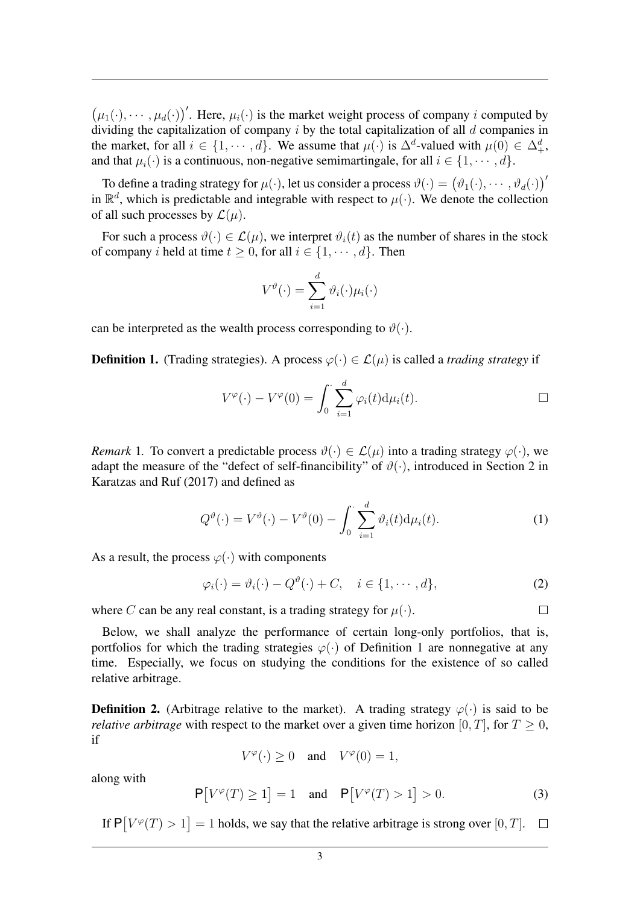$(\mu_1(\cdot), \cdots, \mu_d(\cdot))'$ . Here,  $\mu_i(\cdot)$  is the market weight process of company *i* computed by dividing the capitalization of company  $i$  by the total capitalization of all  $d$  companies in the market, for all  $i \in \{1, \dots, d\}$ . We assume that  $\mu(\cdot)$  is  $\Delta^d$ -valued with  $\mu(0) \in \Delta^d_+$ , and that  $\mu_i(\cdot)$  is a continuous, non-negative semimartingale, for all  $i \in \{1, \dots, d\}$ .

To define a trading strategy for  $\mu(\cdot)$ , let us consider a process  $\vartheta(\cdot) = (\vartheta_1(\cdot), \cdots, \vartheta_d(\cdot))'$ in  $\mathbb{R}^d$ , which is predictable and integrable with respect to  $\mu(\cdot)$ . We denote the collection of all such processes by  $\mathcal{L}(\mu)$ .

For such a process  $\vartheta(\cdot) \in \mathcal{L}(\mu)$ , we interpret  $\vartheta_i(t)$  as the number of shares in the stock of company i held at time  $t > 0$ , for all  $i \in \{1, \dots, d\}$ . Then

$$
V^{\vartheta}(\cdot) = \sum_{i=1}^{d} \vartheta_i(\cdot) \mu_i(\cdot)
$$

can be interpreted as the wealth process corresponding to  $\vartheta(\cdot)$ .

**Definition 1.** (Trading strategies). A process  $\varphi(\cdot) \in \mathcal{L}(\mu)$  is called a *trading strategy* if

$$
V^{\varphi}(\cdot) - V^{\varphi}(0) = \int_0^{\cdot} \sum_{i=1}^d \varphi_i(t) d\mu_i(t).
$$

*Remark* 1. To convert a predictable process  $\vartheta(\cdot) \in \mathcal{L}(\mu)$  into a trading strategy  $\varphi(\cdot)$ , we adapt the measure of the "defect of self-financibility" of  $\vartheta(\cdot)$ , introduced in Section 2 in Karatzas and Ruf (2017) and defined as

$$
Q^{\vartheta}(\cdot) = V^{\vartheta}(\cdot) - V^{\vartheta}(0) - \int_0^{\cdot} \sum_{i=1}^d \vartheta_i(t) d\mu_i(t).
$$
 (1)

As a result, the process  $\varphi(\cdot)$  with components

$$
\varphi_i(\cdot) = \vartheta_i(\cdot) - Q^{\vartheta}(\cdot) + C, \quad i \in \{1, \cdots, d\},\tag{2}
$$

where C can be any real constant, is a trading strategy for  $\mu(\cdot)$ .

Below, we shall analyze the performance of certain long-only portfolios, that is, portfolios for which the trading strategies  $\varphi(\cdot)$  of Definition 1 are nonnegative at any time. Especially, we focus on studying the conditions for the existence of so called relative arbitrage.

**Definition 2.** (Arbitrage relative to the market). A trading strategy  $\varphi(\cdot)$  is said to be *relative arbitrage* with respect to the market over a given time horizon [0, T], for  $T \ge 0$ , if

$$
V^{\varphi}(\cdot) \ge 0 \quad \text{and} \quad V^{\varphi}(0) = 1,
$$

along with

$$
\mathsf{P}\big[V^{\varphi}(T) \ge 1\big] = 1 \quad \text{and} \quad \mathsf{P}\big[V^{\varphi}(T) > 1\big] > 0. \tag{3}
$$

If  $P[V^{\varphi}(T) > 1] = 1$  holds, we say that the relative arbitrage is strong over [0, T].

 $\Box$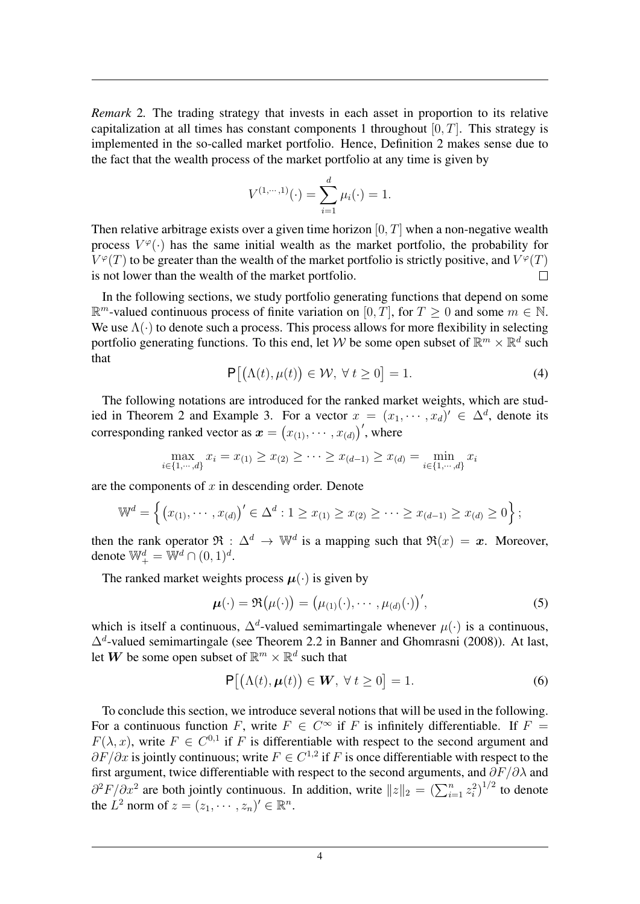*Remark* 2*.* The trading strategy that invests in each asset in proportion to its relative capitalization at all times has constant components 1 throughout  $[0, T]$ . This strategy is implemented in the so-called market portfolio. Hence, Definition 2 makes sense due to the fact that the wealth process of the market portfolio at any time is given by

$$
V^{(1,\dots,1)}(\cdot) = \sum_{i=1}^{d} \mu_i(\cdot) = 1.
$$

Then relative arbitrage exists over a given time horizon  $[0, T]$  when a non-negative wealth process  $V^{\varphi}(\cdot)$  has the same initial wealth as the market portfolio, the probability for  $V^{\varphi}(T)$  to be greater than the wealth of the market portfolio is strictly positive, and  $V^{\varphi}(T)$ is not lower than the wealth of the market portfolio.  $\Box$ 

In the following sections, we study portfolio generating functions that depend on some  $\mathbb{R}^m$ -valued continuous process of finite variation on  $[0, T]$ , for  $T \ge 0$  and some  $m \in \mathbb{N}$ . We use  $\Lambda(\cdot)$  to denote such a process. This process allows for more flexibility in selecting portfolio generating functions. To this end, let W be some open subset of  $\mathbb{R}^m \times \mathbb{R}^d$  such that

$$
\mathsf{P}\big[\big(\Lambda(t), \mu(t)\big) \in \mathcal{W}, \,\forall \, t \ge 0\big] = 1. \tag{4}
$$

The following notations are introduced for the ranked market weights, which are studied in Theorem 2 and Example 3. For a vector  $x = (x_1, \dots, x_d) \in \Delta^d$ , denote its corresponding ranked vector as  $\boldsymbol{x} = (x_{(1)}, \cdots, x_{(d)})'$ , where

$$
\max_{i \in \{1, \cdots, d\}} x_i = x_{(1)} \ge x_{(2)} \ge \cdots \ge x_{(d-1)} \ge x_{(d)} = \min_{i \in \{1, \cdots, d\}} x_i
$$

are the components of  $x$  in descending order. Denote

$$
\mathbb{W}^d = \left\{ (x_{(1)}, \dots, x_{(d)})' \in \Delta^d : 1 \ge x_{(1)} \ge x_{(2)} \ge \dots \ge x_{(d-1)} \ge x_{(d)} \ge 0 \right\};
$$

then the rank operator  $\Re: \Delta^d \to \mathbb{W}^d$  is a mapping such that  $\Re(x) = x$ . Moreover, denote  $\mathbb{W}^d_+ = \mathbb{W}^d \cap (0,1)^d$ .

The ranked market weights process  $\mu(\cdot)$  is given by

$$
\boldsymbol{\mu}(\cdot) = \Re(\mu(\cdot)) = (\mu_{(1)}(\cdot), \cdots, \mu_{(d)}(\cdot))', \tag{5}
$$

which is itself a continuous,  $\Delta^d$ -valued semimartingale whenever  $\mu(\cdot)$  is a continuous,  $\Delta^d$ -valued semimartingale (see Theorem 2.2 in Banner and Ghomrasni (2008)). At last, let  $\mathbf{W}$  be some open subset of  $\mathbb{R}^m \times \mathbb{R}^d$  such that

$$
\mathsf{P}\big[\big(\Lambda(t), \boldsymbol{\mu}(t)\big) \in \boldsymbol{W}, \ \forall \ t \ge 0\big] = 1. \tag{6}
$$

To conclude this section, we introduce several notions that will be used in the following. For a continuous function F, write  $F \in C^{\infty}$  if F is infinitely differentiable. If  $F =$  $F(\lambda, x)$ , write  $F \in C^{0,1}$  if F is differentiable with respect to the second argument and  $\partial F/\partial x$  is jointly continuous; write  $F \in C^{1,2}$  if F is once differentiable with respect to the first argument, twice differentiable with respect to the second arguments, and  $\partial F/\partial \lambda$  and  $\partial^2 F/\partial x^2$  are both jointly continuous. In addition, write  $||z||_2 = \left(\sum_{i=1}^n z_i^2\right)^{1/2}$  to denote the  $L^2$  norm of  $z = (z_1, \dots, z_n)' \in \mathbb{R}^n$ .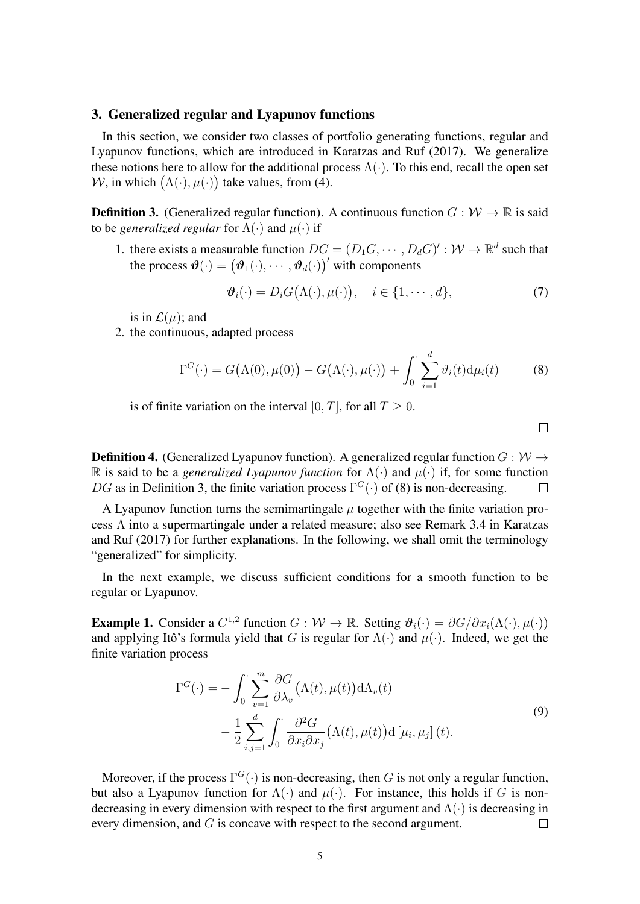## 3. Generalized regular and Lyapunov functions

In this section, we consider two classes of portfolio generating functions, regular and Lyapunov functions, which are introduced in Karatzas and Ruf (2017). We generalize these notions here to allow for the additional process  $\Lambda(\cdot)$ . To this end, recall the open set W, in which  $(\Lambda(\cdot), \mu(\cdot))$  take values, from (4).

**Definition 3.** (Generalized regular function). A continuous function  $G : \mathcal{W} \to \mathbb{R}$  is said to be *generalized regular* for  $\Lambda(\cdot)$  and  $\mu(\cdot)$  if

1. there exists a measurable function  $DG = (D_1G, \dots, D_dG)' : \mathcal{W} \to \mathbb{R}^d$  such that the process  $\boldsymbol{\vartheta}(\cdot) = (\boldsymbol{\vartheta}_1(\cdot), \cdots, \boldsymbol{\vartheta}_d(\cdot))'$  with components

$$
\boldsymbol{\vartheta}_{i}(\cdot) = D_{i}G(\Lambda(\cdot), \mu(\cdot)), \quad i \in \{1, \cdots, d\},\tag{7}
$$

 $\Box$ 

is in  $\mathcal{L}(\mu)$ ; and

2. the continuous, adapted process

$$
\Gamma^{G}(\cdot) = G(\Lambda(0), \mu(0)) - G(\Lambda(\cdot), \mu(\cdot)) + \int_{0}^{\cdot} \sum_{i=1}^{d} \vartheta_{i}(t) d\mu_{i}(t)
$$
(8)

is of finite variation on the interval [0, T], for all  $T \ge 0$ .

**Definition 4.** (Generalized Lyapunov function). A generalized regular function  $G: W \rightarrow$ R is said to be a *generalized Lyapunov function* for  $\Lambda(\cdot)$  and  $\mu(\cdot)$  if, for some function DG as in Definition 3, the finite variation process  $\Gamma^{G}(\cdot)$  of (8) is non-decreasing.  $\Box$ 

A Lyapunov function turns the semimartingale  $\mu$  together with the finite variation process Λ into a supermartingale under a related measure; also see Remark 3.4 in Karatzas and Ruf (2017) for further explanations. In the following, we shall omit the terminology "generalized" for simplicity.

In the next example, we discuss sufficient conditions for a smooth function to be regular or Lyapunov.

**Example 1.** Consider a  $C^{1,2}$  function  $G : \mathcal{W} \to \mathbb{R}$ . Setting  $\mathcal{V}_i(\cdot) = \partial G / \partial x_i(\Lambda(\cdot), \mu(\cdot))$ and applying Itô's formula yield that G is regular for  $\Lambda(\cdot)$  and  $\mu(\cdot)$ . Indeed, we get the finite variation process

$$
\Gamma^{G}(\cdot) = -\int_{0}^{\cdot} \sum_{v=1}^{m} \frac{\partial G}{\partial \lambda_{v}} (\Lambda(t), \mu(t)) d\Lambda_{v}(t)
$$

$$
-\frac{1}{2} \sum_{i,j=1}^{d} \int_{0}^{\cdot} \frac{\partial^{2} G}{\partial x_{i} \partial x_{j}} (\Lambda(t), \mu(t)) d[\mu_{i}, \mu_{j}] (t).
$$
(9)

Moreover, if the process  $\Gamma^G(\cdot)$  is non-decreasing, then G is not only a regular function, but also a Lyapunov function for  $\Lambda(\cdot)$  and  $\mu(\cdot)$ . For instance, this holds if G is nondecreasing in every dimension with respect to the first argument and  $\Lambda(\cdot)$  is decreasing in every dimension, and G is concave with respect to the second argument.  $\Box$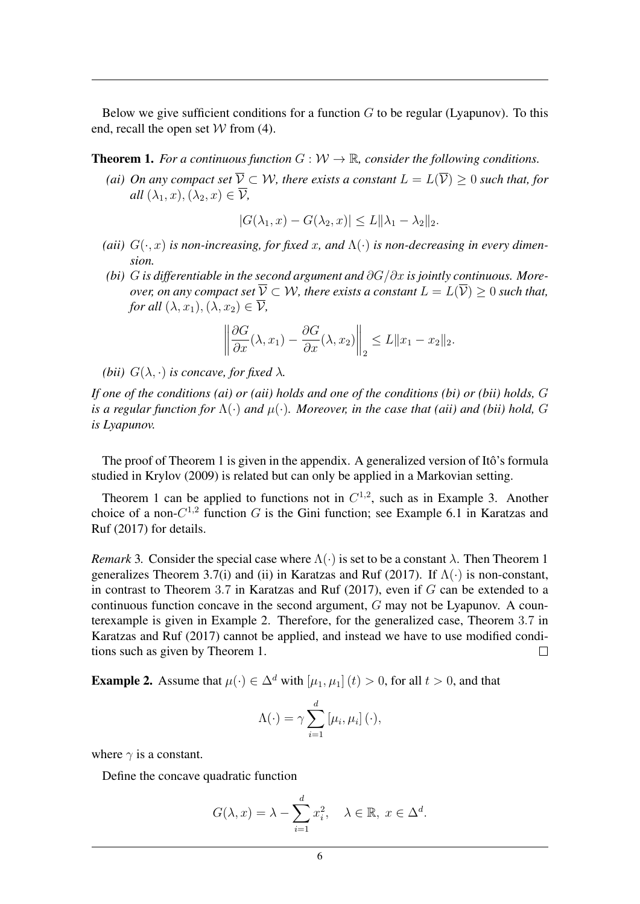Below we give sufficient conditions for a function  $G$  to be regular (Lyapunov). To this end, recall the open set  $W$  from (4).

**Theorem 1.** *For a continuous function*  $G: W \to \mathbb{R}$ *, consider the following conditions.* 

*(ai) On any compact set*  $\overline{V} \subset W$ *, there exists a constant*  $L = L(\overline{V}) > 0$  *such that, for all*  $(\lambda_1, x)$ ,  $(\lambda_2, x) \in \overline{\mathcal{V}}$ ,

$$
|G(\lambda_1, x) - G(\lambda_2, x)| \le L \|\lambda_1 - \lambda_2\|_2.
$$

- (aii)  $G(\cdot, x)$  *is non-increasing, for fixed x, and*  $\Lambda(\cdot)$  *is non-decreasing in every dimension.*
- *(bi)* G *is differentiable in the second argument and* ∂G/∂x *is jointly continuous. Moreover, on any compact set*  $\overline{V} \subset W$ *, there exists a constant*  $L = L(\overline{V}) \geq 0$  *such that, for all*  $(\lambda, x_1), (\lambda, x_2) \in \overline{\mathcal{V}}$ ,

$$
\left\|\frac{\partial G}{\partial x}(\lambda, x_1) - \frac{\partial G}{\partial x}(\lambda, x_2)\right\|_2 \le L\|x_1 - x_2\|_2.
$$

*(bii)*  $G(\lambda, \cdot)$  *is concave, for fixed*  $\lambda$ *.* 

*If one of the conditions (ai) or (aii) holds and one of the conditions (bi) or (bii) holds,* G *is a regular function for* Λ(·) *and* µ(·)*. Moreover, in the case that (aii) and (bii) hold,* G *is Lyapunov.*

The proof of Theorem 1 is given in the appendix. A generalized version of Itô's formula studied in Krylov (2009) is related but can only be applied in a Markovian setting.

Theorem 1 can be applied to functions not in  $C^{1,2}$ , such as in Example 3. Another choice of a non- $C^{1,2}$  function G is the Gini function; see Example 6.1 in Karatzas and Ruf (2017) for details.

*Remark* 3. Consider the special case where  $\Lambda(\cdot)$  is set to be a constant  $\lambda$ . Then Theorem 1 generalizes Theorem 3.7(i) and (ii) in Karatzas and Ruf (2017). If  $\Lambda(\cdot)$  is non-constant, in contrast to Theorem 3.7 in Karatzas and Ruf  $(2017)$ , even if G can be extended to a continuous function concave in the second argument, G may not be Lyapunov. A counterexample is given in Example 2. Therefore, for the generalized case, Theorem 3.7 in Karatzas and Ruf (2017) cannot be applied, and instead we have to use modified conditions such as given by Theorem 1.  $\Box$ 

**Example 2.** Assume that  $\mu(\cdot) \in \Delta^d$  with  $[\mu_1, \mu_1](t) > 0$ , for all  $t > 0$ , and that

$$
\Lambda(\cdot) = \gamma \sum_{i=1}^{d} [\mu_i, \mu_i] (\cdot),
$$

where  $\gamma$  is a constant.

Define the concave quadratic function

$$
G(\lambda, x) = \lambda - \sum_{i=1}^{d} x_i^2, \quad \lambda \in \mathbb{R}, \ x \in \Delta^d.
$$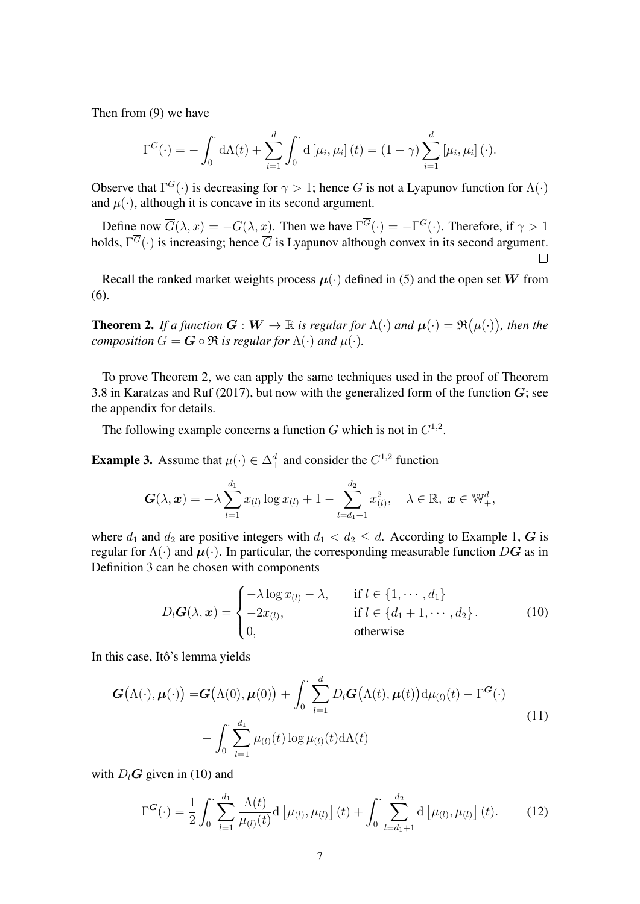Then from (9) we have

$$
\Gamma^{G}(\cdot) = -\int_0^{\cdot} d\Lambda(t) + \sum_{i=1}^d \int_0^{\cdot} d\left[\mu_i, \mu_i\right](t) = (1 - \gamma) \sum_{i=1}^d \left[\mu_i, \mu_i\right](\cdot).
$$

Observe that  $\Gamma^G(\cdot)$  is decreasing for  $\gamma > 1$ ; hence G is not a Lyapunov function for  $\Lambda(\cdot)$ and  $\mu(\cdot)$ , although it is concave in its second argument.

Define now  $\overline{G}(\lambda, x) = -G(\lambda, x)$ . Then we have  $\Gamma^G(\cdot) = -\Gamma^G(\cdot)$ . Therefore, if  $\gamma > 1$ holds,  $\Gamma^G(\cdot)$  is increasing; hence  $\overline{G}$  is Lyapunov although convex in its second argument.  $\Box$ 

Recall the ranked market weights process  $\mu(\cdot)$  defined in (5) and the open set W from (6).

**Theorem 2.** If a function  $G: W \to \mathbb{R}$  is regular for  $\Lambda(\cdot)$  and  $\mu(\cdot) = \Re(\mu(\cdot))$ , then the *composition*  $G = G \circ \Re$  *is regular for*  $\Lambda(\cdot)$  *and*  $\mu(\cdot)$ *.* 

To prove Theorem 2, we can apply the same techniques used in the proof of Theorem 3.8 in Karatzas and Ruf (2017), but now with the generalized form of the function  $G$ ; see the appendix for details.

The following example concerns a function G which is not in  $C^{1,2}$ .

**Example 3.** Assume that  $\mu(\cdot) \in \Delta_+^d$  and consider the  $C^{1,2}$  function

$$
G(\lambda, x) = -\lambda \sum_{l=1}^{d_1} x_{(l)} \log x_{(l)} + 1 - \sum_{l=d_1+1}^{d_2} x_{(l)}^2, \quad \lambda \in \mathbb{R}, x \in \mathbb{W}_+^d,
$$

where  $d_1$  and  $d_2$  are positive integers with  $d_1 < d_2 \leq d$ . According to Example 1, G is regular for  $\Lambda(\cdot)$  and  $\mu(\cdot)$ . In particular, the corresponding measurable function DG as in Definition 3 can be chosen with components

$$
D_l \mathbf{G}(\lambda, \mathbf{x}) = \begin{cases} -\lambda \log x_{(l)} - \lambda, & \text{if } l \in \{1, \cdots, d_1\} \\ -2x_{(l)}, & \text{if } l \in \{d_1 + 1, \cdots, d_2\}. \\ 0, & \text{otherwise} \end{cases}
$$
(10)

In this case, Itô's lemma yields

$$
\boldsymbol{G}(\Lambda(\cdot), \boldsymbol{\mu}(\cdot)) = \boldsymbol{G}(\Lambda(0), \boldsymbol{\mu}(0)) + \int_0^{\cdot} \sum_{l=1}^d D_l \boldsymbol{G}(\Lambda(t), \boldsymbol{\mu}(t)) \mathrm{d}\mu_{(l)}(t) - \Gamma^{\boldsymbol{G}}(\cdot) - \int_0^{\cdot} \sum_{l=1}^{d_1} \mu_{(l)}(t) \log \mu_{(l)}(t) \mathrm{d}\Lambda(t)
$$
\n(11)

with  $D_l$ **G** given in (10) and

$$
\Gamma^{G}(\cdot) = \frac{1}{2} \int_{0}^{\cdot} \sum_{l=1}^{d_{1}} \frac{\Lambda(t)}{\mu_{(l)}(t)} d\left[\mu_{(l)}, \mu_{(l)}\right](t) + \int_{0}^{\cdot} \sum_{l=d_{1}+1}^{d_{2}} d\left[\mu_{(l)}, \mu_{(l)}\right](t).
$$
 (12)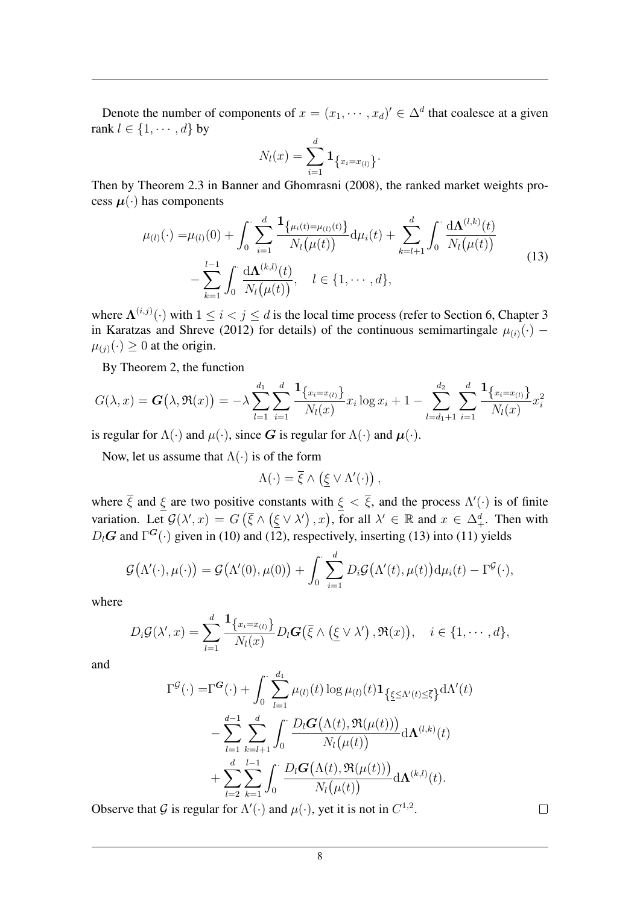Denote the number of components of  $x = (x_1, \dots, x_d) \in \Delta^d$  that coalesce at a given rank  $l \in \{1, \dots, d\}$  by

$$
N_l(x) = \sum_{i=1}^d \mathbf{1}_{\{x_i = x_{(l)}\}}.
$$

Then by Theorem 2.3 in Banner and Ghomrasni (2008), the ranked market weights process  $\mu(\cdot)$  has components

$$
\mu_{(l)}(\cdot) = \mu_{(l)}(0) + \int_0^{\cdot} \sum_{i=1}^d \frac{1_{\{\mu_i(t) = \mu_{(l)}(t)\}}}{N_l(\mu(t))} d\mu_i(t) + \sum_{k=l+1}^d \int_0^{\cdot} \frac{d\mathbf{\Lambda}^{(l,k)}(t)}{N_l(\mu(t))} - \sum_{k=1}^{l-1} \int_0^{\cdot} \frac{d\mathbf{\Lambda}^{(k,l)}(t)}{N_l(\mu(t))}, \quad l \in \{1, \cdots, d\},
$$
\n(13)

where  $\Lambda^{(i,j)}(\cdot)$  with  $1 \leq i < j \leq d$  is the local time process (refer to Section 6, Chapter 3 in Karatzas and Shreve (2012) for details) of the continuous semimartingale  $\mu_{(i)}(\cdot)$  –  $\mu_{(j)}(\cdot) \geq 0$  at the origin.

By Theorem 2, the function

$$
G(\lambda, x) = \mathbf{G}(\lambda, \mathfrak{R}(x)) = -\lambda \sum_{l=1}^{d_1} \sum_{i=1}^d \frac{\mathbf{1}_{\{x_i = x_{(l)\}}}{N_l(x)} x_i \log x_i + 1 - \sum_{l=d_1+1}^{d_2} \sum_{i=1}^d \frac{\mathbf{1}_{\{x_i = x_{(l)\}}}{N_l(x)} x_i^2}{N_l(x)}
$$

is regular for  $\Lambda(\cdot)$  and  $\mu(\cdot)$ , since G is regular for  $\Lambda(\cdot)$  and  $\mu(\cdot)$ .

Now, let us assume that  $\Lambda(\cdot)$  is of the form

$$
\Lambda(\cdot) = \overline{\xi} \wedge (\underline{\xi} \vee \Lambda'(\cdot)),
$$

where  $\overline{\xi}$  and  $\xi$  are two positive constants with  $\xi < \overline{\xi}$ , and the process  $\Lambda'(\cdot)$  is of finite variation. Let  $\mathcal{G}(\lambda',x) = G(\overline{\xi} \wedge (\underline{\xi} \vee \lambda'),x)$ , for all  $\lambda' \in \mathbb{R}$  and  $x \in \Delta^d_+$ . Then with  $D_l$ G and  $\Gamma$ <sup>G</sup>(·) given in (10) and (12), respectively, inserting (13) into (11) yields

$$
\mathcal{G}(\Lambda'(\cdot),\mu(\cdot)) = \mathcal{G}(\Lambda'(0),\mu(0)) + \int_0^{\cdot} \sum_{i=1}^d D_i \mathcal{G}(\Lambda'(t),\mu(t)) d\mu_i(t) - \Gamma^{\mathcal{G}}(\cdot),
$$

where

$$
D_i \mathcal{G}(\lambda',x) = \sum_{l=1}^d \frac{\mathbf{1}_{\{x_i = x_{(l)}\}}}{N_l(x)} D_l \mathbf{G}(\overline{\xi} \wedge (\underline{\xi} \vee \lambda'), \mathfrak{R}(x)), \quad i \in \{1, \cdots, d\},
$$

and

$$
\Gamma^{\mathcal{G}}(\cdot) = \Gamma^{\mathcal{G}}(\cdot) + \int_0^{\cdot} \sum_{l=1}^{d_1} \mu_{(l)}(t) \log \mu_{(l)}(t) \mathbf{1}_{\{\underline{\xi} \leq \Lambda'(t) \leq \overline{\xi}\}} d\Lambda'(t) \n- \sum_{l=1}^{d-1} \sum_{k=l+1}^{d} \int_0^{\cdot} \frac{D_l \mathcal{G}(\Lambda(t), \mathfrak{R}(\mu(t)))}{N_l(\mu(t))} d\Lambda^{(l,k)}(t) \n+ \sum_{l=2}^{d} \sum_{k=1}^{l-1} \int_0^{\cdot} \frac{D_l \mathcal{G}(\Lambda(t), \mathfrak{R}(\mu(t)))}{N_l(\mu(t))} d\Lambda^{(k,l)}(t).
$$

Observe that G is regular for  $\Lambda'(\cdot)$  and  $\mu(\cdot)$ , yet it is not in  $C^{1,2}$ .

 $\Box$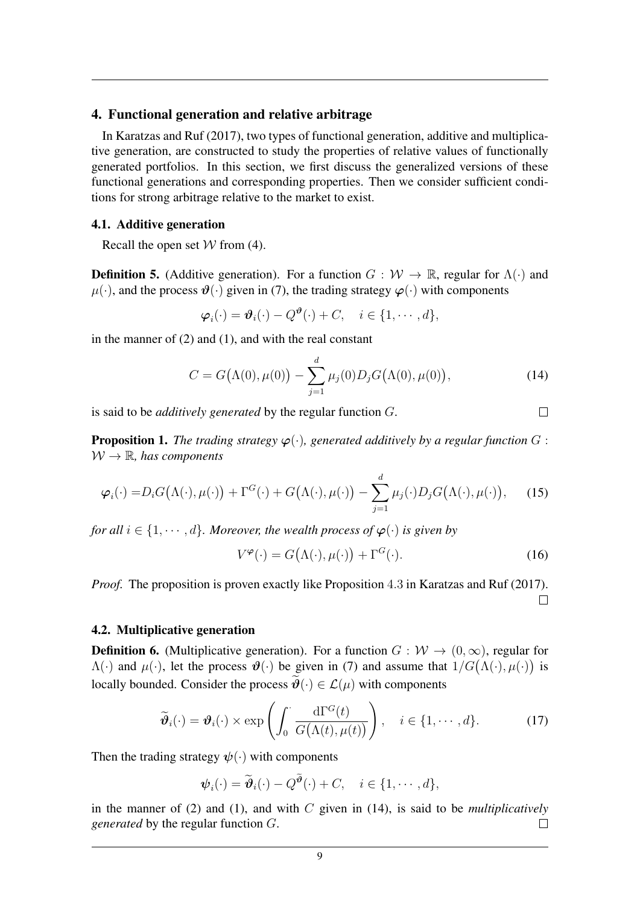## 4. Functional generation and relative arbitrage

In Karatzas and Ruf (2017), two types of functional generation, additive and multiplicative generation, are constructed to study the properties of relative values of functionally generated portfolios. In this section, we first discuss the generalized versions of these functional generations and corresponding properties. Then we consider sufficient conditions for strong arbitrage relative to the market to exist.

### 4.1. Additive generation

Recall the open set  $W$  from (4).

**Definition 5.** (Additive generation). For a function  $G : \mathcal{W} \to \mathbb{R}$ , regular for  $\Lambda(\cdot)$  and  $\mu(\cdot)$ , and the process  $\mathcal{Y}(\cdot)$  given in (7), the trading strategy  $\varphi(\cdot)$  with components

$$
\boldsymbol{\varphi}_i(\cdot) = \boldsymbol{\vartheta}_i(\cdot) - Q^{\boldsymbol{\vartheta}}(\cdot) + C, \quad i \in \{1, \cdots, d\},\
$$

in the manner of  $(2)$  and  $(1)$ , and with the real constant

$$
C = G(\Lambda(0), \mu(0)) - \sum_{j=1}^{d} \mu_j(0) D_j G(\Lambda(0), \mu(0)), \qquad (14)
$$

 $\Box$ 

is said to be *additively generated* by the regular function G.

**Proposition 1.** *The trading strategy*  $\varphi(\cdot)$ *, generated additively by a regular function* G :  $W \to \mathbb{R}$ *, has components* 

$$
\varphi_i(\cdot) = D_i G(\Lambda(\cdot), \mu(\cdot)) + \Gamma^G(\cdot) + G(\Lambda(\cdot), \mu(\cdot)) - \sum_{j=1}^d \mu_j(\cdot) D_j G(\Lambda(\cdot), \mu(\cdot)), \quad (15)
$$

*for all*  $i \in \{1, \dots, d\}$ *. Moreover, the wealth process of*  $\varphi(\cdot)$  *is given by* 

$$
V^{\varphi}(\cdot) = G(\Lambda(\cdot), \mu(\cdot)) + \Gamma^{G}(\cdot). \tag{16}
$$

*Proof.* The proposition is proven exactly like Proposition 4.3 in Karatzas and Ruf (2017).  $\Box$ 

## 4.2. Multiplicative generation

**Definition 6.** (Multiplicative generation). For a function  $G : \mathcal{W} \to (0, \infty)$ , regular for  $\Lambda(\cdot)$  and  $\mu(\cdot)$ , let the process  $\mathcal{O}(\cdot)$  be given in (7) and assume that  $1/G(\Lambda(\cdot), \mu(\cdot))$  is locally bounded. Consider the process  $\widetilde{\boldsymbol{\vartheta}}(\cdot) \in \mathcal{L}(\mu)$  with components

$$
\widetilde{\boldsymbol{\vartheta}}_i(\cdot) = \boldsymbol{\vartheta}_i(\cdot) \times \exp\left(\int_0^{\cdot} \frac{\mathrm{d}\Gamma^G(t)}{G(\Lambda(t), \mu(t))}\right), \quad i \in \{1, \cdots, d\}.
$$
 (17)

Then the trading strategy  $\psi(\cdot)$  with components

$$
\boldsymbol{\psi}_i(\cdot) = \widetilde{\boldsymbol{\vartheta}}_i(\cdot) - Q^{\widetilde{\boldsymbol{\vartheta}}}(\cdot) + C, \quad i \in \{1, \cdots, d\},\
$$

in the manner of (2) and (1), and with C given in (14), is said to be *multiplicatively generated* by the regular function G.  $\Box$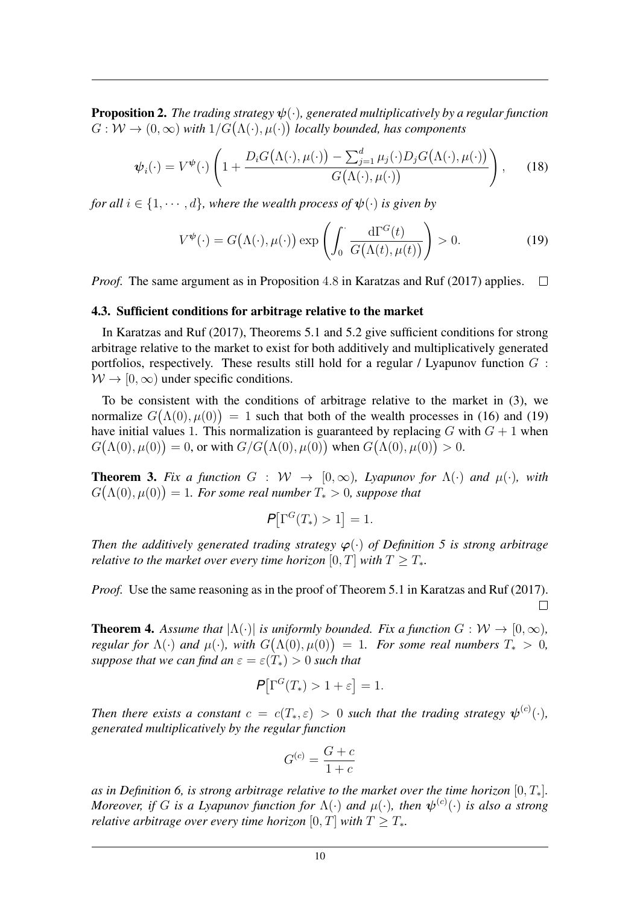**Proposition 2.** *The trading strategy*  $\psi(\cdot)$ *, generated multiplicatively by a regular function*  $G: W \to (0, \infty)$  with  $1/G(\Lambda(\cdot), \mu(\cdot))$  locally bounded, has components

$$
\boldsymbol{\psi}_i(\cdot) = V^{\boldsymbol{\psi}}(\cdot) \left( 1 + \frac{D_i G(\Lambda(\cdot), \mu(\cdot)) - \sum_{j=1}^d \mu_j(\cdot) D_j G(\Lambda(\cdot), \mu(\cdot))}{G(\Lambda(\cdot), \mu(\cdot))} \right), \qquad (18)
$$

*for all*  $i \in \{1, \dots, d\}$ *, where the wealth process of*  $\psi(\cdot)$  *is given by* 

$$
V^{\psi}(\cdot) = G(\Lambda(\cdot), \mu(\cdot)) \exp\left(\int_0^{\cdot} \frac{\mathrm{d}\Gamma^G(t)}{G(\Lambda(t), \mu(t))}\right) > 0. \tag{19}
$$

*Proof.* The same argument as in Proposition 4.8 in Karatzas and Ruf (2017) applies.  $\Box$ 

#### 4.3. Sufficient conditions for arbitrage relative to the market

In Karatzas and Ruf (2017), Theorems 5.1 and 5.2 give sufficient conditions for strong arbitrage relative to the market to exist for both additively and multiplicatively generated portfolios, respectively. These results still hold for a regular / Lyapunov function  $G$ :  $W \rightarrow [0, \infty)$  under specific conditions.

To be consistent with the conditions of arbitrage relative to the market in (3), we normalize  $G(\Lambda(0), \mu(0)) = 1$  such that both of the wealth processes in (16) and (19) have initial values 1. This normalization is guaranteed by replacing  $G$  with  $G + 1$  when  $G(\Lambda(0), \mu(0)) = 0$ , or with  $G/G(\Lambda(0), \mu(0))$  when  $G(\Lambda(0), \mu(0)) > 0$ .

**Theorem 3.** Fix a function  $G : W \to [0, \infty)$ , Lyapunov for  $\Lambda(\cdot)$  and  $\mu(\cdot)$ , with  $G(\Lambda(0), \mu(0)) = 1$ *. For some real number*  $T_* > 0$ *, suppose that* 

$$
\mathbf{P}[\Gamma^G(T_*)>1]=1.
$$

*Then the additively generated trading strategy*  $\varphi(\cdot)$  *of Definition 5 is strong arbitrage relative to the market over every time horizon* [0, T] *with*  $T > T_*$ *.* 

*Proof.* Use the same reasoning as in the proof of Theorem 5.1 in Karatzas and Ruf (2017).  $\Box$ 

**Theorem 4.** Assume that  $|\Lambda(\cdot)|$  is uniformly bounded. Fix a function  $G : W \to [0, \infty)$ , *regular for*  $\Lambda(\cdot)$  *and*  $\mu(\cdot)$ *, with*  $G(\Lambda(0), \mu(0)) = 1$ *. For some real numbers*  $T_* > 0$ *, suppose that we can find an*  $\varepsilon = \varepsilon(T_*) > 0$  *such that* 

$$
\mathbf{P}[\Gamma^G(T_*) > 1 + \varepsilon] = 1.
$$

*Then there exists a constant*  $c = c(T_*, \varepsilon) > 0$  such that the trading strategy  $\boldsymbol{\psi}^{(c)}(\cdot)$ *, generated multiplicatively by the regular function*

$$
G^{(c)} = \frac{G + c}{1 + c}
$$

as in Definition 6, is strong arbitrage relative to the market over the time horizon  $[0, T_*]$ . *Moreover, if* G is a Lyapunov function for  $\Lambda(\cdot)$  and  $\mu(\cdot)$ , then  $\boldsymbol{\psi}^{(c)}(\cdot)$  is also a strong *relative arbitrage over every time horizon* [0, T] *with*  $T \geq T_*$ *.*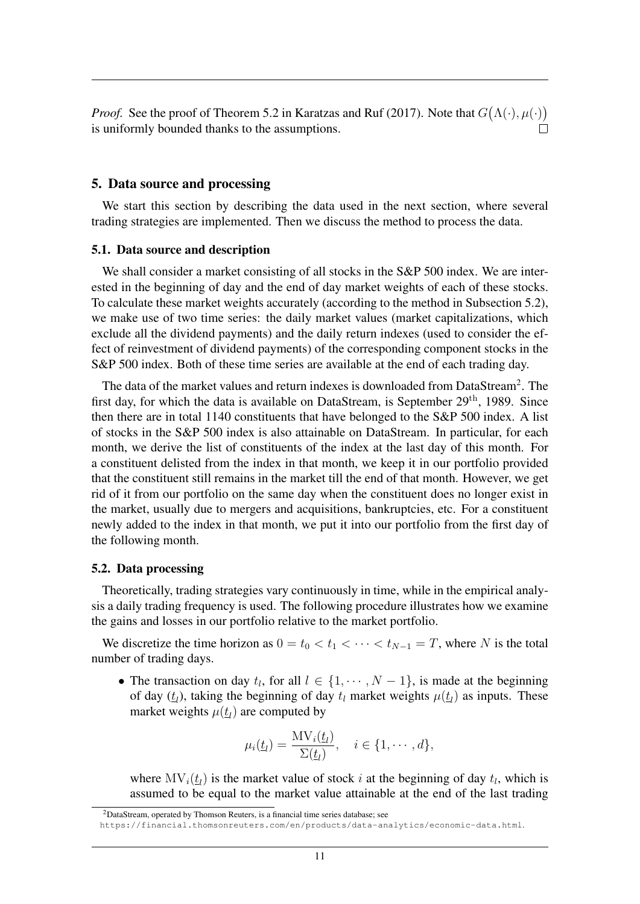*Proof.* See the proof of Theorem 5.2 in Karatzas and Ruf (2017). Note that  $G(\Lambda(\cdot), \mu(\cdot))$ is uniformly bounded thanks to the assumptions.

## 5. Data source and processing

We start this section by describing the data used in the next section, where several trading strategies are implemented. Then we discuss the method to process the data.

#### 5.1. Data source and description

We shall consider a market consisting of all stocks in the S&P 500 index. We are interested in the beginning of day and the end of day market weights of each of these stocks. To calculate these market weights accurately (according to the method in Subsection 5.2), we make use of two time series: the daily market values (market capitalizations, which exclude all the dividend payments) and the daily return indexes (used to consider the effect of reinvestment of dividend payments) of the corresponding component stocks in the S&P 500 index. Both of these time series are available at the end of each trading day.

The data of the market values and return indexes is downloaded from DataStream<sup>2</sup>. The first day, for which the data is available on DataStream, is September 29<sup>th</sup>, 1989. Since then there are in total 1140 constituents that have belonged to the S&P 500 index. A list of stocks in the S&P 500 index is also attainable on DataStream. In particular, for each month, we derive the list of constituents of the index at the last day of this month. For a constituent delisted from the index in that month, we keep it in our portfolio provided that the constituent still remains in the market till the end of that month. However, we get rid of it from our portfolio on the same day when the constituent does no longer exist in the market, usually due to mergers and acquisitions, bankruptcies, etc. For a constituent newly added to the index in that month, we put it into our portfolio from the first day of the following month.

#### 5.2. Data processing

Theoretically, trading strategies vary continuously in time, while in the empirical analysis a daily trading frequency is used. The following procedure illustrates how we examine the gains and losses in our portfolio relative to the market portfolio.

We discretize the time horizon as  $0 = t_0 < t_1 < \cdots < t_{N-1} = T$ , where N is the total number of trading days.

• The transaction on day  $t_l$ , for all  $l \in \{1, \dots, N-1\}$ , is made at the beginning of day  $(t_l)$ , taking the beginning of day  $t_l$  market weights  $\mu(t_l)$  as inputs. These market weights  $\mu(\underline{t}_l)$  are computed by

$$
\mu_i(\underline{t}_l) = \frac{\mathrm{MV}_i(\underline{t}_l)}{\Sigma(\underline{t}_l)}, \quad i \in \{1, \cdots, d\},
$$

where  $MV_i(t_l)$  is the market value of stock i at the beginning of day  $t_l$ , which is assumed to be equal to the market value attainable at the end of the last trading

 $2$ DataStream, operated by Thomson Reuters, is a financial time series database; see

https://financial.thomsonreuters.com/en/products/data-analytics/economic-data.html.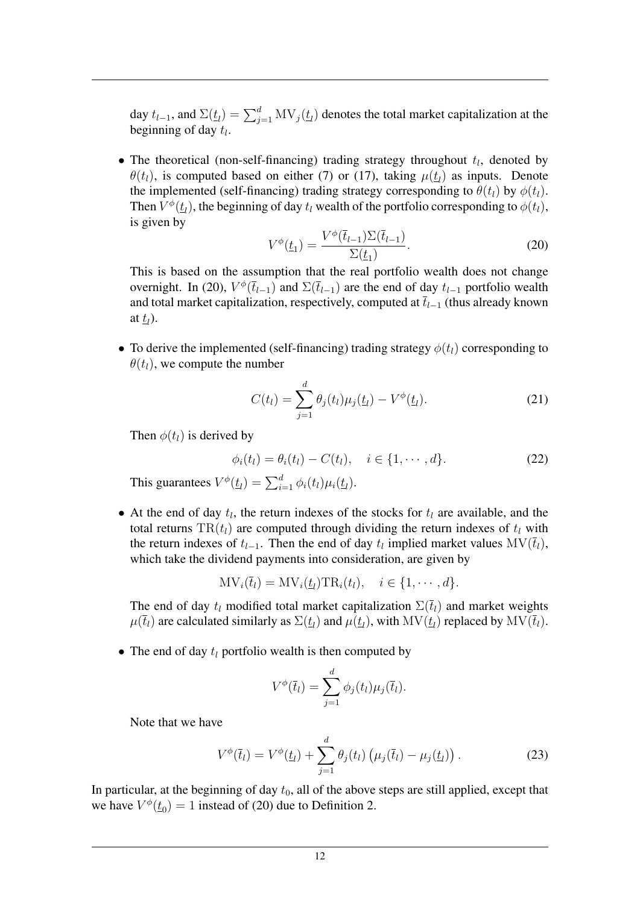day  $t_{l-1}$ , and  $\Sigma(\underline{t}_l) = \sum_{j=1}^d \text{MV}_j(\underline{t}_l)$  denotes the total market capitalization at the beginning of day  $t_l$ .

• The theoretical (non-self-financing) trading strategy throughout  $t_l$ , denoted by  $\theta(t_l)$ , is computed based on either (7) or (17), taking  $\mu(\underline{t}_l)$  as inputs. Denote the implemented (self-financing) trading strategy corresponding to  $\theta(t_l)$  by  $\phi(t_l)$ . Then  $V^{\phi}(\underline{t}_l)$ , the beginning of day  $t_l$  wealth of the portfolio corresponding to  $\phi(t_l)$ , is given by

$$
V^{\phi}(\underline{t}_1) = \frac{V^{\phi}(\overline{t}_{l-1})\Sigma(\overline{t}_{l-1})}{\Sigma(\underline{t}_1)}.
$$
\n(20)

This is based on the assumption that the real portfolio wealth does not change overnight. In (20),  $V^{\phi}(\bar{t}_{l-1})$  and  $\Sigma(\bar{t}_{l-1})$  are the end of day  $t_{l-1}$  portfolio wealth and total market capitalization, respectively, computed at  $\overline{t}_{l-1}$  (thus already known at  $\underline{t}_l$ ).

• To derive the implemented (self-financing) trading strategy  $\phi(t_l)$  corresponding to  $\theta(t_l)$ , we compute the number

$$
C(t_l) = \sum_{j=1}^{d} \theta_j(t_l) \mu_j(\underline{t}_l) - V^{\phi}(\underline{t}_l).
$$
 (21)

Then  $\phi(t_l)$  is derived by

$$
\phi_i(t_l) = \theta_i(t_l) - C(t_l), \quad i \in \{1, \cdots, d\}.
$$
 (22)

This guarantees  $V^{\phi}(\underline{t}_l) = \sum_{i=1}^d \phi_i(t_l) \mu_i(\underline{t}_l)$ .

• At the end of day  $t_l$ , the return indexes of the stocks for  $t_l$  are available, and the total returns  $TR(t_l)$  are computed through dividing the return indexes of  $t_l$  with the return indexes of  $t_{l-1}$ . Then the end of day  $t_l$  implied market values  $MV(\bar{t}_l)$ , which take the dividend payments into consideration, are given by

$$
MV_i(\bar{t}_l) = MV_i(\underline{t}_l)TR_i(t_l), \quad i \in \{1, \cdots, d\}.
$$

The end of day  $t_l$  modified total market capitalization  $\Sigma(\bar{t}_l)$  and market weights  $\mu(\bar t_l)$  are calculated similarly as  $\Sigma(t_l)$  and  $\mu(t_l)$ , with  $\mathrm{MV}(t_l)$  replaced by  $\mathrm{MV}(\bar t_l)$ .

• The end of day  $t_l$  portfolio wealth is then computed by

$$
V^{\phi}(\bar{t}_l) = \sum_{j=1}^d \phi_j(t_l) \mu_j(\bar{t}_l).
$$

Note that we have

$$
V^{\phi}(\bar{t}_l) = V^{\phi}(\underline{t}_l) + \sum_{j=1}^{d} \theta_j(t_l) \left( \mu_j(\bar{t}_l) - \mu_j(\underline{t}_l) \right). \tag{23}
$$

In particular, at the beginning of day  $t_0$ , all of the above steps are still applied, except that we have  $V^{\phi}(\underline{t}_0) = 1$  instead of (20) due to Definition 2.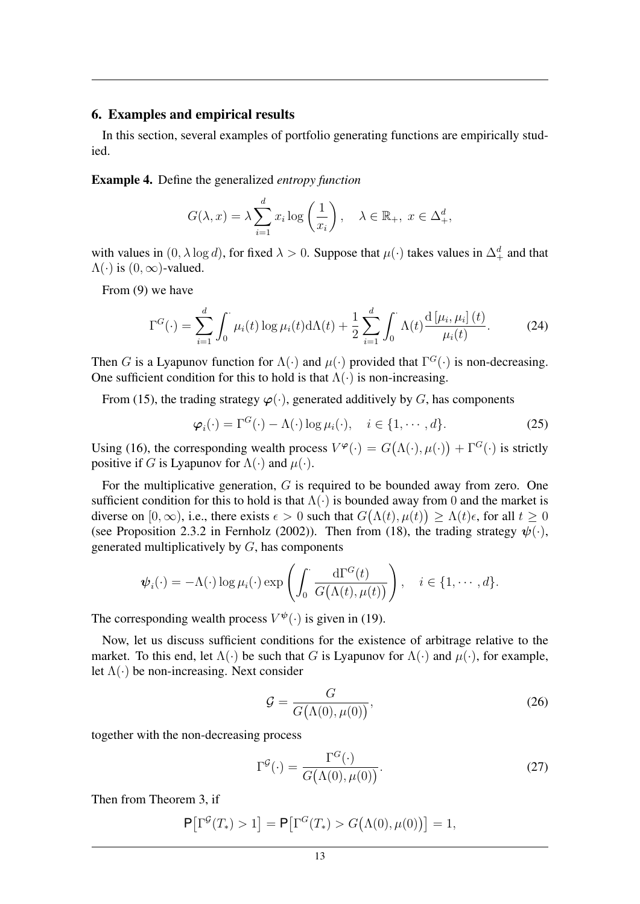## 6. Examples and empirical results

In this section, several examples of portfolio generating functions are empirically studied.

Example 4. Define the generalized *entropy function*

$$
G(\lambda, x) = \lambda \sum_{i=1}^{d} x_i \log \left(\frac{1}{x_i}\right), \quad \lambda \in \mathbb{R}_+, \ x \in \Delta_+^d,
$$

with values in  $(0, \lambda \log d)$ , for fixed  $\lambda > 0$ . Suppose that  $\mu(\cdot)$  takes values in  $\Delta^d_+$  and that  $\Lambda(\cdot)$  is  $(0, \infty)$ -valued.

From (9) we have

$$
\Gamma^{G}(\cdot) = \sum_{i=1}^{d} \int_{0}^{\cdot} \mu_{i}(t) \log \mu_{i}(t) d\Lambda(t) + \frac{1}{2} \sum_{i=1}^{d} \int_{0}^{\cdot} \Lambda(t) \frac{d \left[ \mu_{i}, \mu_{i} \right] (t)}{\mu_{i}(t)}.
$$
 (24)

Then G is a Lyapunov function for  $\Lambda(\cdot)$  and  $\mu(\cdot)$  provided that  $\Gamma^G(\cdot)$  is non-decreasing. One sufficient condition for this to hold is that  $\Lambda(\cdot)$  is non-increasing.

From (15), the trading strategy  $\varphi(\cdot)$ , generated additively by G, has components

$$
\boldsymbol{\varphi}_i(\cdot) = \Gamma^G(\cdot) - \Lambda(\cdot) \log \mu_i(\cdot), \quad i \in \{1, \cdots, d\}.
$$
 (25)

Using (16), the corresponding wealth process  $V^{\varphi}(\cdot) = G(\Lambda(\cdot), \mu(\cdot)) + \Gamma^{G}(\cdot)$  is strictly positive if G is Lyapunov for  $\Lambda(\cdot)$  and  $\mu(\cdot)$ .

For the multiplicative generation, G is required to be bounded away from zero. One sufficient condition for this to hold is that  $\Lambda(\cdot)$  is bounded away from 0 and the market is diverse on  $[0, \infty)$ , i.e., there exists  $\epsilon > 0$  such that  $G(\Lambda(t), \mu(t)) \geq \Lambda(t)\epsilon$ , for all  $t \geq 0$ (see Proposition 2.3.2 in Fernholz (2002)). Then from (18), the trading strategy  $\psi(\cdot)$ , generated multiplicatively by G, has components

$$
\boldsymbol{\psi}_i(\cdot) = -\Lambda(\cdot) \log \mu_i(\cdot) \exp \left( \int_0^{\cdot} \frac{\mathrm{d}\Gamma^G(t)}{G(\Lambda(t), \mu(t))} \right), \quad i \in \{1, \cdots, d\}.
$$

The corresponding wealth process  $V^{\psi}(\cdot)$  is given in (19).

Now, let us discuss sufficient conditions for the existence of arbitrage relative to the market. To this end, let  $\Lambda(\cdot)$  be such that G is Lyapunov for  $\Lambda(\cdot)$  and  $\mu(\cdot)$ , for example, let  $\Lambda(\cdot)$  be non-increasing. Next consider

$$
\mathcal{G} = \frac{G}{G(\Lambda(0), \mu(0))},\tag{26}
$$

together with the non-decreasing process

$$
\Gamma^{\mathcal{G}}(\cdot) = \frac{\Gamma^{\mathcal{G}}(\cdot)}{G(\Lambda(0), \mu(0))}.
$$
\n(27)

Then from Theorem 3, if

$$
\mathsf{P}\big[\Gamma^{\mathcal{G}}(T_*) > 1\big] = \mathsf{P}\big[\Gamma^{\mathcal{G}}(T_*) > G\big(\Lambda(0), \mu(0)\big)\big] = 1,
$$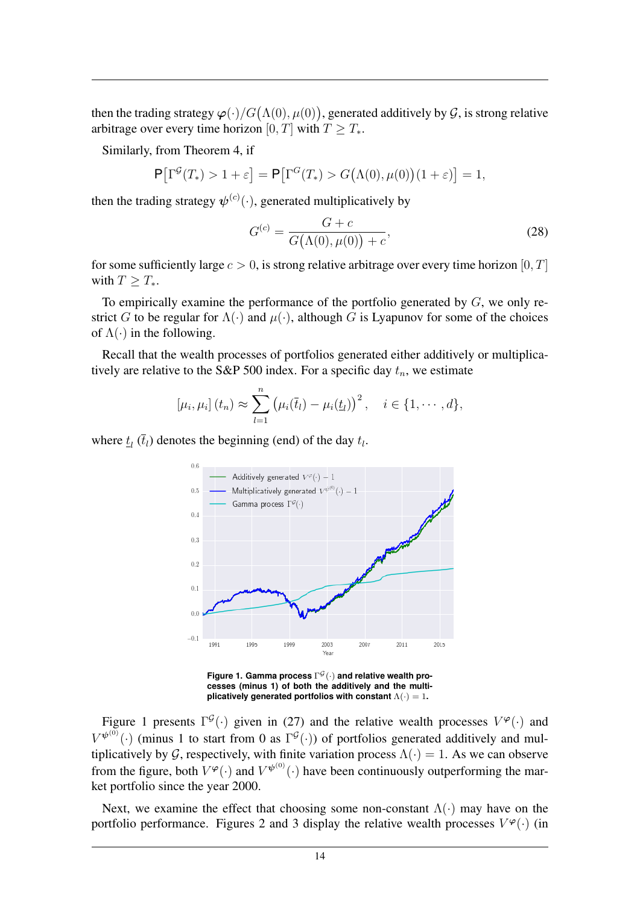then the trading strategy  $\boldsymbol{\varphi}(\cdot)/G\big(\Lambda(0),\mu(0)\big)$ , generated additively by  $\mathcal G,$  is strong relative arbitrage over every time horizon [0, T] with  $T \geq T_*$ .

Similarly, from Theorem 4, if

 $\mathsf{P}\big[\Gamma^{\mathcal{G}}(T_*) > 1 + \varepsilon\big] = \mathsf{P}\big[\Gamma^G(T_*) > G(\Lambda(0), \mu(0))(1 + \varepsilon)\big] = 1,$ 

then the trading strategy  $\psi^{(c)}(\cdot)$ , generated multiplicatively by

$$
G^{(c)} = \frac{G + c}{G(\Lambda(0), \mu(0)) + c},
$$
\n(28)

for some sufficiently large  $c > 0$ , is strong relative arbitrage over every time horizon [0, T] with  $T > T_*$ .

To empirically examine the performance of the portfolio generated by  $G$ , we only restrict G to be regular for  $\Lambda(\cdot)$  and  $\mu(\cdot)$ , although G is Lyapunov for some of the choices of  $\Lambda(\cdot)$  in the following.

Recall that the wealth processes of portfolios generated either additively or multiplicatively are relative to the S&P 500 index. For a specific day  $t_n$ , we estimate

$$
[\mu_i, \mu_i](t_n) \approx \sum_{l=1}^n (\mu_i(\bar{t}_l) - \mu_i(\underline{t}_l))^2, \quad i \in \{1, \cdots, d\},
$$

where  $\underline{t}_l$  ( $\overline{t}_l$ ) denotes the beginning (end) of the day  $t_l$ .



**Figure 1. Gamma process**  $\Gamma^{\mathcal{G}}(\cdot)$  and relative wealth pro**cesses (minus 1) of both the additively and the multiplicatively generated portfolios with constant** Λ(·) = 1**.**

Figure 1 presents  $\Gamma^{\mathcal{G}}(\cdot)$  given in (27) and the relative wealth processes  $V^{\varphi}(\cdot)$  and  $V^{\psi^{(0)}}(\cdot)$  (minus 1 to start from 0 as  $\Gamma^{\mathcal{G}}(\cdot)$ ) of portfolios generated additively and multiplicatively by G, respectively, with finite variation process  $\Lambda(\cdot) = 1$ . As we can observe from the figure, both  $V^{\varphi}(\cdot)$  and  $V^{\psi^{(0)}}(\cdot)$  have been continuously outperforming the market portfolio since the year 2000.

Next, we examine the effect that choosing some non-constant  $\Lambda(\cdot)$  may have on the portfolio performance. Figures 2 and 3 display the relative wealth processes  $V^{\varphi}(\cdot)$  (in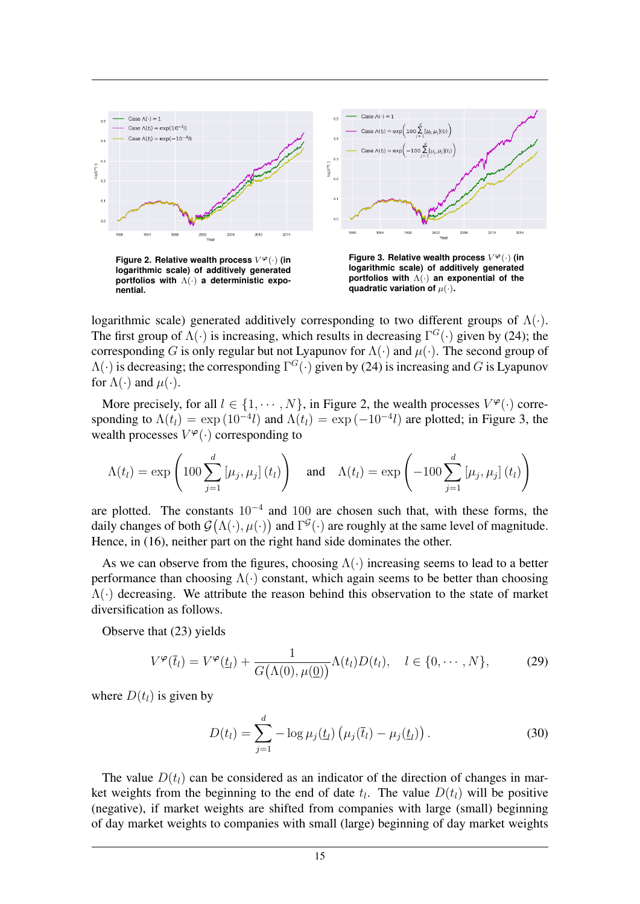

**logarithmic scale) of additively generated portfolios with** Λ(·) **a deterministic exponential.**

**logarithmic scale) of additively generated portfolios with** Λ(·) **an exponential of the quadratic variation of**  $\mu(\cdot)$ **.** 

logarithmic scale) generated additively corresponding to two different groups of  $\Lambda(\cdot)$ . The first group of  $\Lambda(\cdot)$  is increasing, which results in decreasing  $\Gamma^G(\cdot)$  given by (24); the corresponding G is only regular but not Lyapunov for  $\Lambda(\cdot)$  and  $\mu(\cdot)$ . The second group of  $\Lambda(\cdot)$  is decreasing; the corresponding  $\Gamma^G(\cdot)$  given by (24) is increasing and G is Lyapunov for  $\Lambda(\cdot)$  and  $\mu(\cdot)$ .

More precisely, for all  $l \in \{1, \dots, N\}$ , in Figure 2, the wealth processes  $V^{\varphi}(\cdot)$  corresponding to  $\Lambda(t_l) = \exp(10^{-4}l)$  and  $\Lambda(t_l) = \exp(-10^{-4}l)$  are plotted; in Figure 3, the wealth processes  $V^{\varphi}(\cdot)$  corresponding to

$$
\Lambda(t_l) = \exp\left(100 \sum_{j=1}^d \left[\mu_j, \mu_j\right](t_l)\right) \quad \text{and} \quad \Lambda(t_l) = \exp\left(-100 \sum_{j=1}^d \left[\mu_j, \mu_j\right](t_l)\right)
$$

are plotted. The constants  $10^{-4}$  and  $100$  are chosen such that, with these forms, the daily changes of both  $\mathcal{G}(\Lambda(\cdot), \mu(\cdot))$  and  $\Gamma^{\mathcal{G}}(\cdot)$  are roughly at the same level of magnitude. Hence, in (16), neither part on the right hand side dominates the other.

As we can observe from the figures, choosing  $\Lambda(\cdot)$  increasing seems to lead to a better performance than choosing  $\Lambda(\cdot)$  constant, which again seems to be better than choosing  $\Lambda(\cdot)$  decreasing. We attribute the reason behind this observation to the state of market diversification as follows.

Observe that (23) yields

$$
V^{\varphi}(\bar{t}_l) = V^{\varphi}(\underline{t}_l) + \frac{1}{G(\Lambda(0), \mu(\underline{0}))} \Lambda(t_l) D(t_l), \quad l \in \{0, \cdots, N\},
$$
 (29)

where  $D(t_l)$  is given by

$$
D(t_l) = \sum_{j=1}^{d} -\log \mu_j(t_l) \left( \mu_j(\bar{t}_l) - \mu_j(t_l) \right).
$$
 (30)

The value  $D(t<sub>l</sub>)$  can be considered as an indicator of the direction of changes in market weights from the beginning to the end of date  $t_l$ . The value  $D(t_l)$  will be positive (negative), if market weights are shifted from companies with large (small) beginning of day market weights to companies with small (large) beginning of day market weights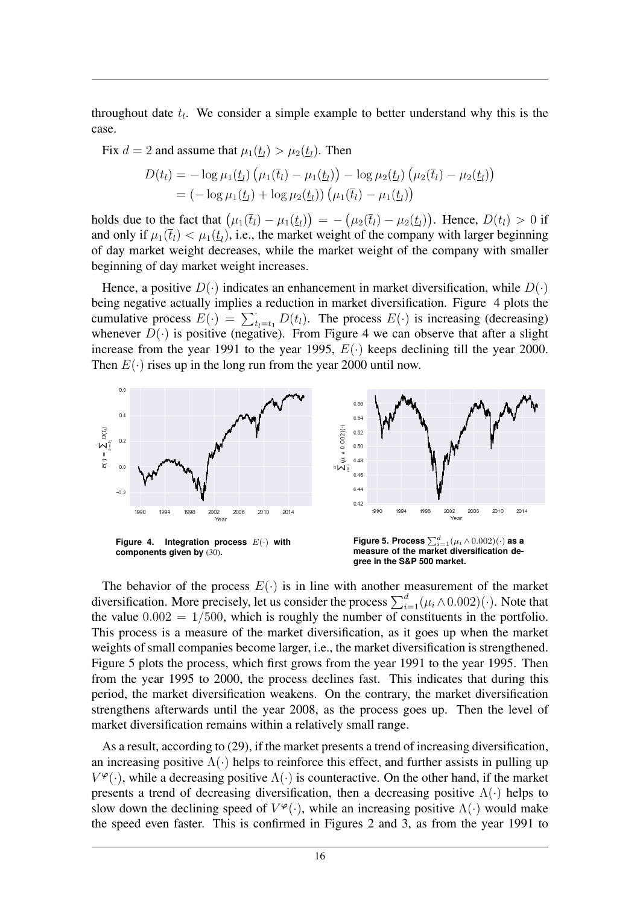throughout date  $t_l$ . We consider a simple example to better understand why this is the case.

Fix  $d = 2$  and assume that  $\mu_1(\underline{t}_l) > \mu_2(\underline{t}_l)$ . Then

$$
D(t_l) = -\log \mu_1(\underline{t}_l) \left( \mu_1(\overline{t}_l) - \mu_1(\underline{t}_l) \right) - \log \mu_2(\underline{t}_l) \left( \mu_2(\overline{t}_l) - \mu_2(\underline{t}_l) \right) = (-\log \mu_1(\underline{t}_l) + \log \mu_2(\underline{t}_l)) \left( \mu_1(\overline{t}_l) - \mu_1(\underline{t}_l) \right)
$$

holds due to the fact that  $(\mu_1(\bar t_l) - \mu_1(\underline t_l)) = -(\mu_2(\bar t_l) - \mu_2(\underline t_l))$ . Hence,  $D(t_l) > 0$  if and only if  $\mu_1(\bar{t}_l) < \mu_1(\underline{t}_l)$ , i.e., the market weight of the company with larger beginning of day market weight decreases, while the market weight of the company with smaller beginning of day market weight increases.

Hence, a positive  $D(\cdot)$  indicates an enhancement in market diversification, while  $D(\cdot)$ being negative actually implies a reduction in market diversification. Figure 4 plots the cumulative process  $E(\cdot) = \sum_{t_l=t_1}^{\cdot} D(t_l)$ . The process  $E(\cdot)$  is increasing (decreasing) whenever  $D(\cdot)$  is positive (negative). From Figure 4 we can observe that after a slight increase from the year 1991 to the year 1995,  $E(\cdot)$  keeps declining till the year 2000. Then  $E(\cdot)$  rises up in the long run from the year 2000 until now.



The behavior of the process  $E(\cdot)$  is in line with another measurement of the market diversification. More precisely, let us consider the process  $\sum_{i=1}^{d} (\mu_i \wedge 0.002)(\cdot)$ . Note that the value  $0.002 = 1/500$ , which is roughly the number of constituents in the portfolio. This process is a measure of the market diversification, as it goes up when the market weights of small companies become larger, i.e., the market diversification is strengthened. Figure 5 plots the process, which first grows from the year 1991 to the year 1995. Then from the year 1995 to 2000, the process declines fast. This indicates that during this period, the market diversification weakens. On the contrary, the market diversification strengthens afterwards until the year 2008, as the process goes up. Then the level of market diversification remains within a relatively small range.

As a result, according to (29), if the market presents a trend of increasing diversification, an increasing positive  $\Lambda(\cdot)$  helps to reinforce this effect, and further assists in pulling up  $V^{\varphi}(\cdot)$ , while a decreasing positive  $\Lambda(\cdot)$  is counteractive. On the other hand, if the market presents a trend of decreasing diversification, then a decreasing positive  $\Lambda(\cdot)$  helps to slow down the declining speed of  $V^{\varphi}(\cdot)$ , while an increasing positive  $\Lambda(\cdot)$  would make the speed even faster. This is confirmed in Figures 2 and 3, as from the year 1991 to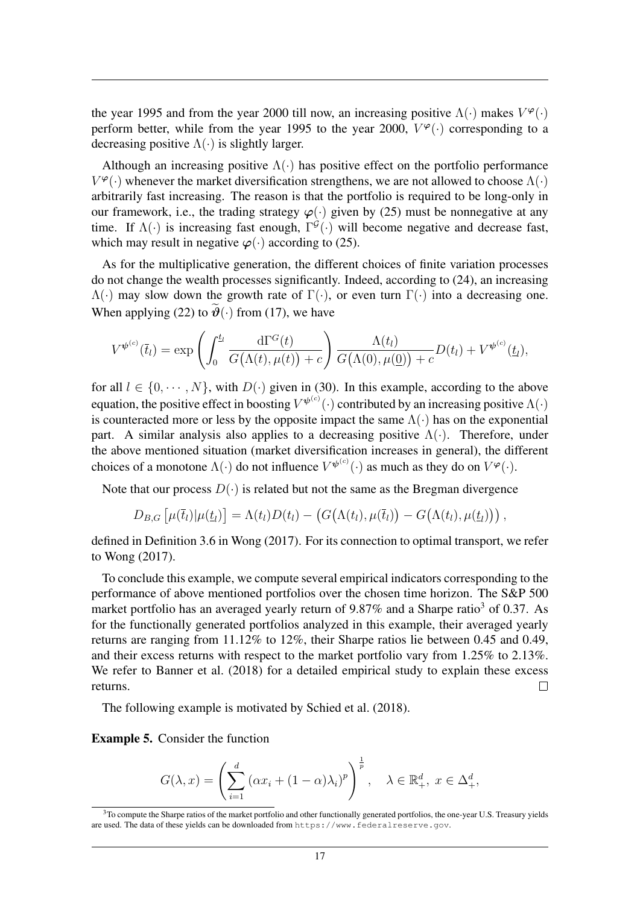the year 1995 and from the year 2000 till now, an increasing positive  $\Lambda(\cdot)$  makes  $V^{\varphi}(\cdot)$ perform better, while from the year 1995 to the year 2000,  $V^{\varphi}(\cdot)$  corresponding to a decreasing positive  $\Lambda(\cdot)$  is slightly larger.

Although an increasing positive  $\Lambda(\cdot)$  has positive effect on the portfolio performance  $V^{\varphi}(\cdot)$  whenever the market diversification strengthens, we are not allowed to choose  $\Lambda(\cdot)$ arbitrarily fast increasing. The reason is that the portfolio is required to be long-only in our framework, i.e., the trading strategy  $\varphi(\cdot)$  given by (25) must be nonnegative at any time. If  $\Lambda(\cdot)$  is increasing fast enough,  $\Gamma^{\mathcal{G}}(\cdot)$  will become negative and decrease fast, which may result in negative  $\varphi(\cdot)$  according to (25).

As for the multiplicative generation, the different choices of finite variation processes do not change the wealth processes significantly. Indeed, according to (24), an increasing  $\Lambda(\cdot)$  may slow down the growth rate of  $\Gamma(\cdot)$ , or even turn  $\Gamma(\cdot)$  into a decreasing one. When applying (22) to  $\widetilde{\vartheta}(\cdot)$  from (17), we have

$$
V^{\psi^{(c)}}(\overline{t}_l)=\exp\left(\int_0^{\underline{t}_l}\frac{\mathrm{d}\Gamma^G(t)}{G(\Lambda(t),\mu(t))+c}\right)\frac{\Lambda(t_l)}{G(\Lambda(0),\mu(\underline{0}))+c}D(t_l)+V^{\psi^{(c)}}(\underline{t}_l),
$$

for all  $l \in \{0, \dots, N\}$ , with  $D(\cdot)$  given in (30). In this example, according to the above equation, the positive effect in boosting  $V^{\psi^{(c)}}(\cdot)$  contributed by an increasing positive  $\Lambda(\cdot)$ is counteracted more or less by the opposite impact the same  $\Lambda(\cdot)$  has on the exponential part. A similar analysis also applies to a decreasing positive  $\Lambda(\cdot)$ . Therefore, under the above mentioned situation (market diversification increases in general), the different choices of a monotone  $\Lambda(\cdot)$  do not influence  $V^{\psi^{(c)}}(\cdot)$  as much as they do on  $V^{\varphi}(\cdot)$ .

Note that our process  $D(\cdot)$  is related but not the same as the Bregman divergence

$$
D_{B,G}\left[\mu(\bar{t}_l)|\mu(\underline{t}_l)\right] = \Lambda(t_l)D(t_l) - \left(G\big(\Lambda(t_l), \mu(\bar{t}_l)\big) - G\big(\Lambda(t_l), \mu(\underline{t}_l)\big)\right),
$$

defined in Definition 3.6 in Wong (2017). For its connection to optimal transport, we refer to Wong (2017).

To conclude this example, we compute several empirical indicators corresponding to the performance of above mentioned portfolios over the chosen time horizon. The S&P 500 market portfolio has an averaged yearly return of  $9.87\%$  and a Sharpe ratio<sup>3</sup> of 0.37. As for the functionally generated portfolios analyzed in this example, their averaged yearly returns are ranging from 11.12% to 12%, their Sharpe ratios lie between 0.45 and 0.49, and their excess returns with respect to the market portfolio vary from 1.25% to 2.13%. We refer to Banner et al. (2018) for a detailed empirical study to explain these excess returns.  $\Box$ 

The following example is motivated by Schied et al. (2018).

Example 5. Consider the function

$$
G(\lambda, x) = \left(\sum_{i=1}^d (\alpha x_i + (1 - \alpha)\lambda_i)^p\right)^{\frac{1}{p}}, \quad \lambda \in \mathbb{R}^d_+, \ x \in \Delta^d_+,
$$

 $3$ To compute the Sharpe ratios of the market portfolio and other functionally generated portfolios, the one-year U.S. Treasury yields are used. The data of these yields can be downloaded from https://www.federalreserve.gov.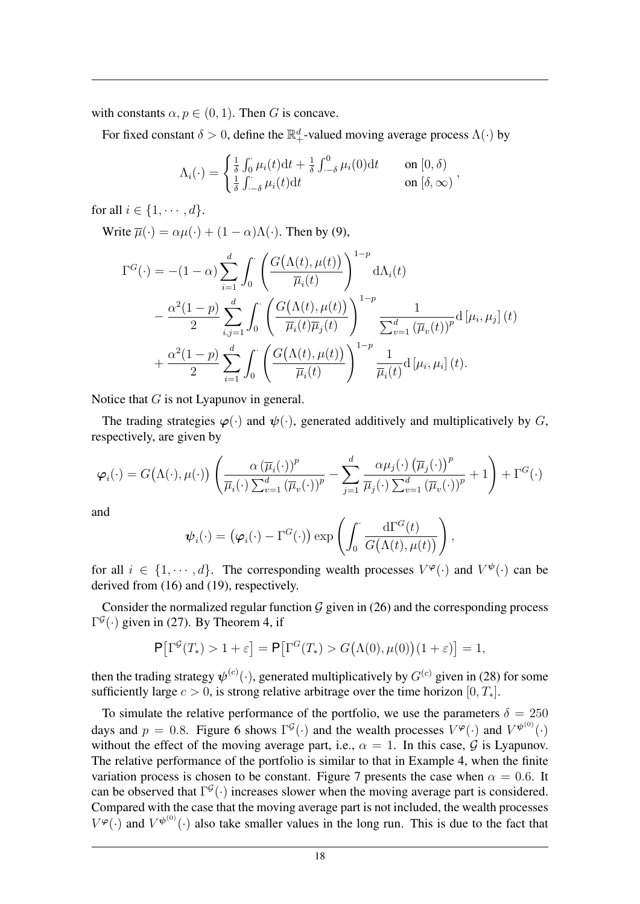with constants  $\alpha, p \in (0, 1)$ . Then G is concave.

For fixed constant  $\delta > 0$ , define the  $\mathbb{R}^d_+$ -valued moving average process  $\Lambda(\cdot)$  by

$$
\Lambda_i(\cdot) = \begin{cases} \frac{1}{\delta} \int_0^{\cdot} \mu_i(t) dt + \frac{1}{\delta} \int_{-\delta}^0 \mu_i(0) dt & \text{on } [0, \delta) \\ \frac{1}{\delta} \int_{-\delta}^{\cdot} \mu_i(t) dt & \text{on } [\delta, \infty) \end{cases}
$$

for all  $i \in \{1, \cdots, d\}$ .

Write  $\overline{u}(\cdot) = \alpha u(\cdot) + (1 - \alpha) \Lambda(\cdot)$ . Then by (9),

$$
\Gamma^{G}(\cdot) = -(1-\alpha) \sum_{i=1}^{d} \int_{0}^{\cdot} \left( \frac{G(\Lambda(t), \mu(t))}{\overline{\mu}_{i}(t)} \right)^{1-p} d\Lambda_{i}(t)
$$

$$
- \frac{\alpha^{2}(1-p)}{2} \sum_{i,j=1}^{d} \int_{0}^{\cdot} \left( \frac{G(\Lambda(t), \mu(t))}{\overline{\mu}_{i}(t)\overline{\mu}_{j}(t)} \right)^{1-p} \frac{1}{\sum_{v=1}^{d} (\overline{\mu}_{v}(t))^{p}} d\left[\mu_{i}, \mu_{j}\right](t)
$$

$$
+ \frac{\alpha^{2}(1-p)}{2} \sum_{i=1}^{d} \int_{0}^{\cdot} \left( \frac{G(\Lambda(t), \mu(t))}{\overline{\mu}_{i}(t)} \right)^{1-p} \frac{1}{\overline{\mu}_{i}(t)} d\left[\mu_{i}, \mu_{i}\right](t).
$$

Notice that G is not Lyapunov in general.

The trading strategies  $\varphi(\cdot)$  and  $\psi(\cdot)$ , generated additively and multiplicatively by G, respectively, are given by

$$
\varphi_i(\cdot) = G(\Lambda(\cdot), \mu(\cdot)) \left( \frac{\alpha \left( \overline{\mu}_i(\cdot) \right)^p}{\overline{\mu}_i(\cdot) \sum_{v=1}^d (\overline{\mu}_v(\cdot))^p} - \sum_{j=1}^d \frac{\alpha \mu_j(\cdot) \left( \overline{\mu}_j(\cdot) \right)^p}{\overline{\mu}_j(\cdot) \sum_{v=1}^d (\overline{\mu}_v(\cdot))^p} + 1 \right) + \Gamma^G(\cdot)
$$

and

$$
\boldsymbol{\psi}_i(\cdot) = (\boldsymbol{\varphi}_i(\cdot) - \Gamma^G(\cdot)) \exp\left(\int_0^{\cdot} \frac{d\Gamma^G(t)}{G(\Lambda(t), \mu(t))}\right),
$$

for all  $i \in \{1, \dots, d\}$ . The corresponding wealth processes  $V^{\varphi}(\cdot)$  and  $V^{\psi}(\cdot)$  can be derived from (16) and (19), respectively.

Consider the normalized regular function  $G$  given in (26) and the corresponding process  $\Gamma^{\mathcal{G}}(\cdot)$  given in (27). By Theorem 4, if

$$
\mathsf{P}\big[\Gamma^{\mathcal{G}}(T_*) > 1 + \varepsilon\big] = \mathsf{P}\big[\Gamma^{\mathcal{G}}(T_*) > G\big(\Lambda(0), \mu(0)\big)(1 + \varepsilon)\big] = 1,
$$

then the trading strategy  $\psi^{(c)}(\cdot)$ , generated multiplicatively by  $G^{(c)}$  given in (28) for some sufficiently large  $c > 0$ , is strong relative arbitrage over the time horizon  $[0, T_*]$ .

To simulate the relative performance of the portfolio, we use the parameters  $\delta = 250$ days and  $p = 0.8$ . Figure 6 shows  $\Gamma^{\mathcal{G}}(\cdot)$  and the wealth processes  $V^{\varphi}(\cdot)$  and  $V^{\psi^{(0)}}(\cdot)$ without the effect of the moving average part, i.e.,  $\alpha = 1$ . In this case, G is Lyapunov. The relative performance of the portfolio is similar to that in Example 4, when the finite variation process is chosen to be constant. Figure 7 presents the case when  $\alpha = 0.6$ . It can be observed that  $\Gamma^{\mathcal{G}}(\cdot)$  increases slower when the moving average part is considered. Compared with the case that the moving average part is not included, the wealth processes  $V^{\varphi}(\cdot)$  and  $V^{\psi^{(0)}}(\cdot)$  also take smaller values in the long run. This is due to the fact that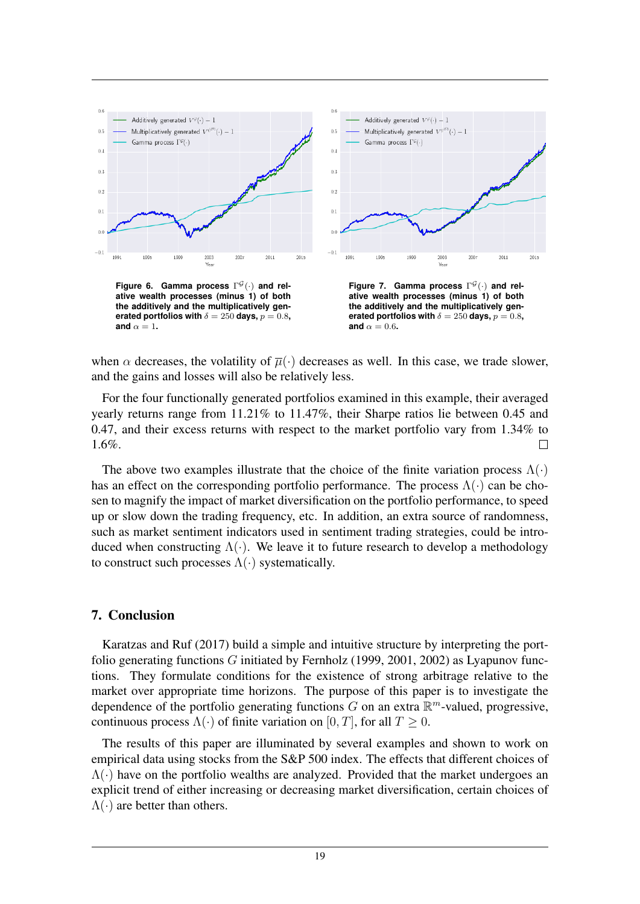

when  $\alpha$  decreases, the volatility of  $\overline{\mu}(\cdot)$  decreases as well. In this case, we trade slower, and the gains and losses will also be relatively less.

For the four functionally generated portfolios examined in this example, their averaged yearly returns range from 11.21% to 11.47%, their Sharpe ratios lie between 0.45 and 0.47, and their excess returns with respect to the market portfolio vary from 1.34% to 1.6%.  $\Box$ 

The above two examples illustrate that the choice of the finite variation process  $\Lambda(\cdot)$ has an effect on the corresponding portfolio performance. The process  $\Lambda(\cdot)$  can be chosen to magnify the impact of market diversification on the portfolio performance, to speed up or slow down the trading frequency, etc. In addition, an extra source of randomness, such as market sentiment indicators used in sentiment trading strategies, could be introduced when constructing  $\Lambda(\cdot)$ . We leave it to future research to develop a methodology to construct such processes  $\Lambda(\cdot)$  systematically.

## 7. Conclusion

Karatzas and Ruf (2017) build a simple and intuitive structure by interpreting the portfolio generating functions G initiated by Fernholz (1999, 2001, 2002) as Lyapunov functions. They formulate conditions for the existence of strong arbitrage relative to the market over appropriate time horizons. The purpose of this paper is to investigate the dependence of the portfolio generating functions G on an extra  $\mathbb{R}^m$ -valued, progressive, continuous process  $\Lambda(\cdot)$  of finite variation on [0, T], for all  $T \ge 0$ .

The results of this paper are illuminated by several examples and shown to work on empirical data using stocks from the S&P 500 index. The effects that different choices of  $\Lambda(\cdot)$  have on the portfolio wealths are analyzed. Provided that the market undergoes an explicit trend of either increasing or decreasing market diversification, certain choices of  $\Lambda(\cdot)$  are better than others.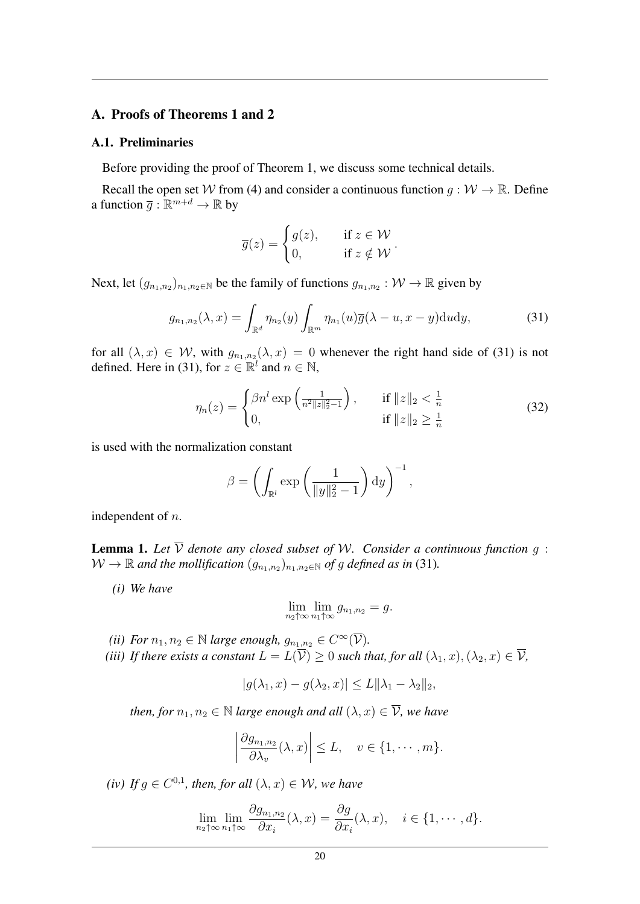## A. Proofs of Theorems 1 and 2

#### A.1. Preliminaries

Before providing the proof of Theorem 1, we discuss some technical details.

Recall the open set W from (4) and consider a continuous function  $q : \mathcal{W} \to \mathbb{R}$ . Define a function  $\overline{g} : \mathbb{R}^{m+d} \to \mathbb{R}$  by

$$
\overline{g}(z) = \begin{cases} g(z), & \text{if } z \in \mathcal{W} \\ 0, & \text{if } z \notin \mathcal{W} \end{cases}.
$$

Next, let  $(g_{n_1,n_2})_{n_1,n_2 \in \mathbb{N}}$  be the family of functions  $g_{n_1,n_2} : \mathcal{W} \to \mathbb{R}$  given by

$$
g_{n_1,n_2}(\lambda,x) = \int_{\mathbb{R}^d} \eta_{n_2}(y) \int_{\mathbb{R}^m} \eta_{n_1}(u) \overline{g}(\lambda-u,x-y) \mathrm{d}u \mathrm{d}y, \tag{31}
$$

for all  $(\lambda, x) \in \mathcal{W}$ , with  $g_{n_1,n_2}(\lambda, x) = 0$  whenever the right hand side of (31) is not defined. Here in (31), for  $z \in \mathbb{R}^l$  and  $n \in \mathbb{N}$ ,

$$
\eta_n(z) = \begin{cases} \beta n^l \exp\left(\frac{1}{n^2 \|z\|_2^2 - 1}\right), & \text{if } \|z\|_2 < \frac{1}{n} \\ 0, & \text{if } \|z\|_2 \ge \frac{1}{n} \end{cases}
$$
(32)

is used with the normalization constant

$$
\beta = \left(\int_{\mathbb{R}^l} \exp\left(\frac{1}{\|y\|_2^2 - 1}\right) \mathrm{d}y\right)^{-1},\,
$$

independent of n.

**Lemma 1.** Let  $\overline{V}$  denote any closed subset of W. Consider a continuous function  $g$ :  $W \to \mathbb{R}$  and the mollification  $(g_{n_1,n_2})_{n_1,n_2 \in \mathbb{N}}$  of g defined as in (31).

*(i) We have*

$$
\lim_{n_2 \uparrow \infty} \lim_{n_1 \uparrow \infty} g_{n_1, n_2} = g.
$$

- *(ii) For*  $n_1, n_2 \in \mathbb{N}$  *large enough,*  $g_{n_1,n_2} \in C^{\infty}(\overline{\mathcal{V}})$ *.*
- *(iii) If there exists a constant*  $L = L(\overline{\mathcal{V}}) \geq 0$  *such that, for all*  $(\lambda_1, x), (\lambda_2, x) \in \overline{\mathcal{V}}$ *,*

$$
|g(\lambda_1, x) - g(\lambda_2, x)| \le L \|\lambda_1 - \lambda_2\|_2,
$$

*then, for*  $n_1, n_2 \in \mathbb{N}$  *large enough and all*  $(\lambda, x) \in \overline{\mathcal{V}}$ *, we have* 

$$
\left|\frac{\partial g_{n_1,n_2}}{\partial \lambda_v}(\lambda,x)\right| \leq L, \quad v \in \{1,\cdots,m\}.
$$

*(iv)* If  $g \in C^{0,1}$ , then, for all  $(\lambda, x) \in \mathcal{W}$ , we have

$$
\lim_{n_2 \uparrow \infty} \lim_{n_1 \uparrow \infty} \frac{\partial g_{n_1, n_2}}{\partial x_i}(\lambda, x) = \frac{\partial g}{\partial x_i}(\lambda, x), \quad i \in \{1, \cdots, d\}.
$$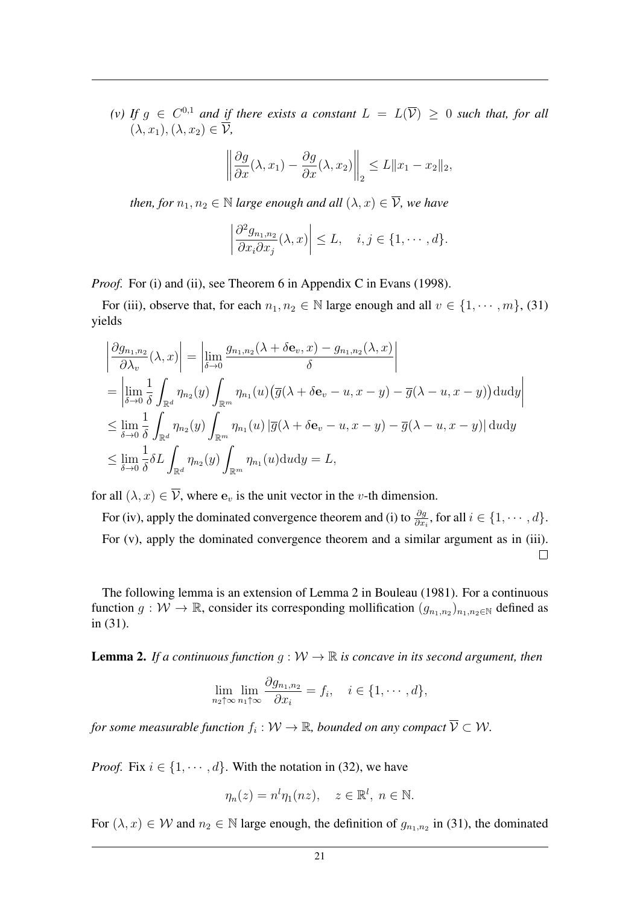*(v)* If  $g \in C^{0,1}$  and if there exists a constant  $L = L(\overline{V}) \ge 0$  such that, for all  $(\lambda, x_1), (\lambda, x_2) \in \mathcal{V}$ ,

$$
\left\|\frac{\partial g}{\partial x}(\lambda, x_1) - \frac{\partial g}{\partial x}(\lambda, x_2)\right\|_2 \le L \|x_1 - x_2\|_2,
$$

*then, for*  $n_1, n_2 \in \mathbb{N}$  *large enough and all*  $(\lambda, x) \in \overline{\mathcal{V}}$ *, we have* 

$$
\left|\frac{\partial^2 g_{n_1,n_2}}{\partial x_i \partial x_j}(\lambda, x)\right| \le L, \quad i, j \in \{1, \cdots, d\}.
$$

*Proof.* For (i) and (ii), see Theorem 6 in Appendix C in Evans (1998).

For (iii), observe that, for each  $n_1, n_2 \in \mathbb{N}$  large enough and all  $v \in \{1, \dots, m\}$ , (31) yields

$$
\begin{aligned}\n\left| \frac{\partial g_{n_1,n_2}}{\partial \lambda_v}(\lambda, x) \right| &= \left| \lim_{\delta \to 0} \frac{g_{n_1,n_2}(\lambda + \delta \mathbf{e}_v, x) - g_{n_1,n_2}(\lambda, x)}{\delta} \right| \\
&= \left| \lim_{\delta \to 0} \frac{1}{\delta} \int_{\mathbb{R}^d} \eta_{n_2}(y) \int_{\mathbb{R}^m} \eta_{n_1}(u) \left( \overline{g}(\lambda + \delta \mathbf{e}_v - u, x - y) - \overline{g}(\lambda - u, x - y) \right) \, \mathrm{d}u \, \mathrm{d}y \right| \\
&\leq \lim_{\delta \to 0} \frac{1}{\delta} \int_{\mathbb{R}^d} \eta_{n_2}(y) \int_{\mathbb{R}^m} \eta_{n_1}(u) \left| \overline{g}(\lambda + \delta \mathbf{e}_v - u, x - y) - \overline{g}(\lambda - u, x - y) \right| \, \mathrm{d}u \, \mathrm{d}y \\
&\leq \lim_{\delta \to 0} \frac{1}{\delta} \delta L \int_{\mathbb{R}^d} \eta_{n_2}(y) \int_{\mathbb{R}^m} \eta_{n_1}(u) \, \mathrm{d}u \, \mathrm{d}y = L,\n\end{aligned}
$$

for all  $(\lambda, x) \in \overline{\mathcal{V}}$ , where  $\mathbf{e}_v$  is the unit vector in the *v*-th dimension.

For (iv), apply the dominated convergence theorem and (i) to  $\frac{\partial g}{\partial x_i}$ , for all  $i \in \{1, \dots, d\}$ . For (v), apply the dominated convergence theorem and a similar argument as in (iii).  $\Box$ 

The following lemma is an extension of Lemma 2 in Bouleau (1981). For a continuous function  $g: W \to \mathbb{R}$ , consider its corresponding mollification  $(g_{n_1,n_2})_{n_1,n_2 \in \mathbb{N}}$  defined as in (31).

**Lemma 2.** *If a continuous function*  $g: W \to \mathbb{R}$  *is concave in its second argument, then* 

$$
\lim_{n_2 \uparrow \infty} \lim_{n_1 \uparrow \infty} \frac{\partial g_{n_1, n_2}}{\partial x_i} = f_i, \quad i \in \{1, \cdots, d\},
$$

for some measurable function  $f_i: \mathcal{W} \to \mathbb{R}$ , bounded on any compact  $\overline{\mathcal{V}} \subset \mathcal{W}$ .

*Proof.* Fix  $i \in \{1, \dots, d\}$ . With the notation in (32), we have

$$
\eta_n(z) = n^l \eta_1(nz), \quad z \in \mathbb{R}^l, \ n \in \mathbb{N}.
$$

For  $(\lambda, x) \in \mathcal{W}$  and  $n_2 \in \mathbb{N}$  large enough, the definition of  $g_{n_1,n_2}$  in (31), the dominated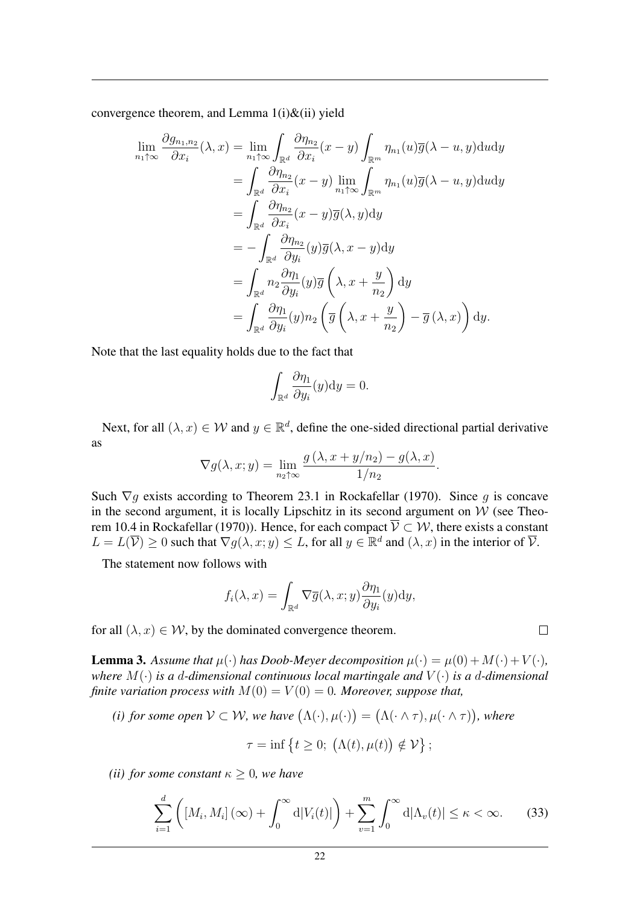convergence theorem, and Lemma  $1(i)$ &(ii) yield

$$
\lim_{n_1 \uparrow \infty} \frac{\partial g_{n_1, n_2}}{\partial x_i}(\lambda, x) = \lim_{n_1 \uparrow \infty} \int_{\mathbb{R}^d} \frac{\partial \eta_{n_2}}{\partial x_i} (x - y) \int_{\mathbb{R}^m} \eta_{n_1}(u) \overline{g}(\lambda - u, y) \mathrm{d}u \mathrm{d}y \n= \int_{\mathbb{R}^d} \frac{\partial \eta_{n_2}}{\partial x_i} (x - y) \lim_{n_1 \uparrow \infty} \int_{\mathbb{R}^m} \eta_{n_1}(u) \overline{g}(\lambda - u, y) \mathrm{d}u \mathrm{d}y \n= \int_{\mathbb{R}^d} \frac{\partial \eta_{n_2}}{\partial x_i} (x - y) \overline{g}(\lambda, y) \mathrm{d}y \n= - \int_{\mathbb{R}^d} \frac{\partial \eta_{n_2}}{\partial y_i} (y) \overline{g}(\lambda, x - y) \mathrm{d}y \n= \int_{\mathbb{R}^d} n_2 \frac{\partial \eta_1}{\partial y_i} (y) \overline{g} \left(\lambda, x + \frac{y}{n_2}\right) \mathrm{d}y \n= \int_{\mathbb{R}^d} \frac{\partial \eta_1}{\partial y_i} (y) n_2 \left(\overline{g}(\lambda, x + \frac{y}{n_2}) - \overline{g}(\lambda, x)\right) \mathrm{d}y.
$$

Note that the last equality holds due to the fact that

$$
\int_{\mathbb{R}^d} \frac{\partial \eta_1}{\partial y_i}(y) \mathrm{d}y = 0.
$$

Next, for all  $(\lambda, x) \in \mathcal{W}$  and  $y \in \mathbb{R}^d$ , define the one-sided directional partial derivative as

$$
\nabla g(\lambda, x; y) = \lim_{n_2 \uparrow \infty} \frac{g(\lambda, x + y/n_2) - g(\lambda, x)}{1/n_2}.
$$

Such  $\nabla g$  exists according to Theorem 23.1 in Rockafellar (1970). Since g is concave in the second argument, it is locally Lipschitz in its second argument on  $W$  (see Theorem 10.4 in Rockafellar (1970)). Hence, for each compact  $\mathcal{V} \subset \mathcal{W}$ , there exists a constant  $L = L(\overline{\mathcal{V}}) \geq 0$  such that  $\nabla g(\lambda, x; y) \leq L$ , for all  $y \in \mathbb{R}^d$  and  $(\lambda, x)$  in the interior of  $\overline{\mathcal{V}}$ .

The statement now follows with

$$
f_i(\lambda, x) = \int_{\mathbb{R}^d} \nabla \overline{g}(\lambda, x; y) \frac{\partial \eta_1}{\partial y_i}(y) dy,
$$

for all  $(\lambda, x) \in \mathcal{W}$ , by the dominated convergence theorem.

**Lemma 3.** Assume that  $\mu(\cdot)$  has Doob-Meyer decomposition  $\mu(\cdot) = \mu(0) + M(\cdot) + V(\cdot)$ , *where*  $M(\cdot)$  *is a d-dimensional continuous local martingale and*  $V(\cdot)$  *is a d-dimensional finite variation process with*  $M(0) = V(0) = 0$ *. Moreover, suppose that,* 

(*i*) for some open  $V \subset W$ , we have  $(\Lambda(\cdot), \mu(\cdot)) = (\Lambda(\cdot \land \tau), \mu(\cdot \land \tau))$ , where

$$
\tau = \inf \{ t \ge 0; \ (\Lambda(t), \mu(t)) \notin \mathcal{V} \};
$$

*(ii) for some constant*  $\kappa > 0$ *, we have* 

$$
\sum_{i=1}^{d} \left( \left[ M_i, M_i \right] (\infty) + \int_0^\infty \mathrm{d} |V_i(t)| \right) + \sum_{v=1}^{m} \int_0^\infty \mathrm{d} |\Lambda_v(t)| \le \kappa < \infty. \tag{33}
$$

 $\Box$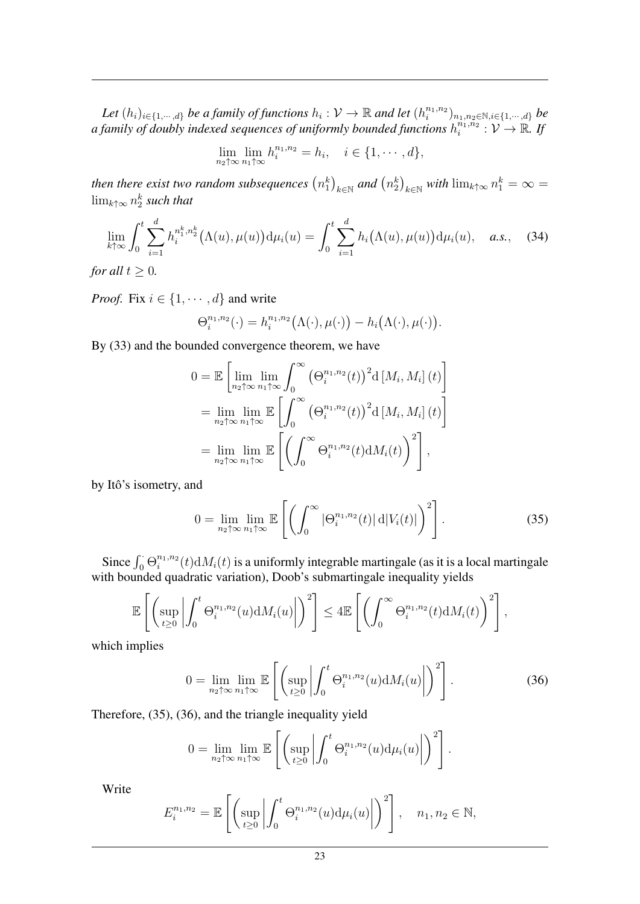Let  $(h_i)_{i \in \{1,\dots,d\}}$  be a family of functions  $h_i: \mathcal{V} \to \mathbb{R}$  and let  $(h_i^{n_1,n_2})$  $\binom{n_1,n_2}{i}_{n_1,n_2\in\mathbb{N},i\in\{1,\cdots,d\}}$  be a family of doubly indexed sequences of uniformly bounded functions  $h_i^{n_1,n_2}$  $\overline{\widetilde{v}_i^{n_1,n_2}}:\mathcal{V}\to\mathbb{R}$ . If

$$
\lim_{n_2\uparrow\infty}\lim_{n_1\uparrow\infty}h_i^{n_1,n_2}=h_i,\quad i\in\{1,\cdots,d\},\
$$

then there exist two random subsequences  $\left(n^k_1\right)_{k\in\mathbb{N}}$  and  $\left(n^k_2\right)_{k\in\mathbb{N}}$  with  $\lim_{k\uparrow\infty}n^k_1=\infty=$  $\lim_{k \uparrow \infty} n_2^k$  such that

$$
\lim_{k \uparrow \infty} \int_0^t \sum_{i=1}^d h_i^{n_1^k, n_2^k} \big( \Lambda(u), \mu(u) \big) \mathrm{d} \mu_i(u) = \int_0^t \sum_{i=1}^d h_i \big( \Lambda(u), \mu(u) \big) \mathrm{d} \mu_i(u), \quad a.s., \quad (34)
$$

*for all*  $t \geq 0$ *.* 

*Proof.* Fix  $i \in \{1, \dots, d\}$  and write

$$
\Theta_i^{n_1,n_2}(\cdot) = h_i^{n_1,n_2}(\Lambda(\cdot),\mu(\cdot)) - h_i(\Lambda(\cdot),\mu(\cdot)).
$$

By (33) and the bounded convergence theorem, we have

$$
0 = \mathbb{E}\left[\lim_{n_2 \uparrow \infty} \lim_{n_1 \uparrow \infty} \int_0^\infty \left(\Theta_i^{n_1, n_2}(t)\right)^2 d\left[M_i, M_i\right](t)\right]
$$
  
\n
$$
= \lim_{n_2 \uparrow \infty} \lim_{n_1 \uparrow \infty} \mathbb{E}\left[\int_0^\infty \left(\Theta_i^{n_1, n_2}(t)\right)^2 d\left[M_i, M_i\right](t)\right]
$$
  
\n
$$
= \lim_{n_2 \uparrow \infty} \lim_{n_1 \uparrow \infty} \mathbb{E}\left[\left(\int_0^\infty \Theta_i^{n_1, n_2}(t) dM_i(t)\right)^2\right],
$$

by Itô's isometry, and

$$
0 = \lim_{n_2 \uparrow \infty} \lim_{n_1 \uparrow \infty} \mathbb{E}\left[\left(\int_0^\infty |\Theta_i^{n_1, n_2}(t)| \, \mathrm{d}|V_i(t)|\right)^2\right].\tag{35}
$$

Since  $\int_0^{\cdot} \Theta_i^{n_1,n_2}$  $\int_{t_1}^{n_1,n_2}(t)\mathrm{d}M_i(t)$  is a uniformly integrable martingale (as it is a local martingale with bounded quadratic variation), Doob's submartingale inequality yields

$$
\mathbb{E}\left[\left(\sup_{t\geq 0}\left|\int_0^t \Theta_i^{n_1,n_2}(u)\mathrm{d}M_i(u)\right|\right)^2\right] \leq 4\mathbb{E}\left[\left(\int_0^\infty \Theta_i^{n_1,n_2}(t)\mathrm{d}M_i(t)\right)^2\right],
$$

which implies

$$
0 = \lim_{n_2 \uparrow \infty} \lim_{n_1 \uparrow \infty} \mathbb{E}\left[\left(\sup_{t \ge 0} \left| \int_0^t \Theta_i^{n_1, n_2}(u) \mathrm{d}M_i(u) \right| \right)^2\right].
$$
 (36)

Therefore, (35), (36), and the triangle inequality yield

$$
0 = \lim_{n_2 \uparrow \infty} \lim_{n_1 \uparrow \infty} \mathbb{E}\left[\left(\sup_{t \geq 0} \left| \int_0^t \Theta_i^{n_1, n_2}(u) d\mu_i(u) \right| \right)^2\right].
$$

Write

$$
E_i^{n_1,n_2} = \mathbb{E}\left[\left(\sup_{t\geq 0} \left| \int_0^t \Theta_i^{n_1,n_2}(u) \mathrm{d}\mu_i(u) \right| \right)^2\right], \quad n_1, n_2 \in \mathbb{N},
$$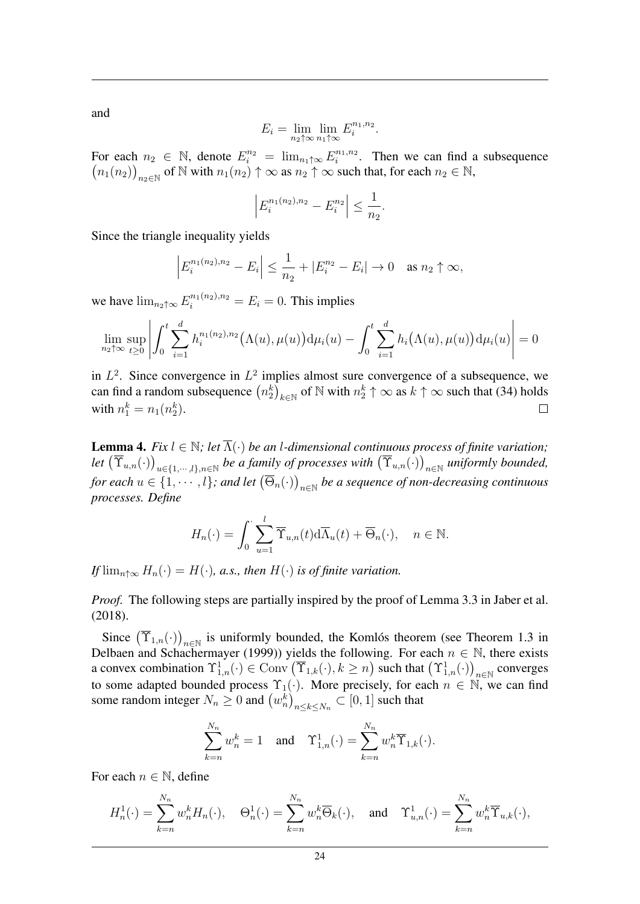and

$$
E_i = \lim_{n_2 \uparrow \infty} \lim_{n_1 \uparrow \infty} E_i^{n_1, n_2}.
$$

For each  $n_2 \in \mathbb{N}$ , denote  $E_i^{n_2} = \lim_{n_1 \uparrow \infty} E_i^{n_1, n_2}$  $i^{n_1, n_2}$ . Then we can find a subsequence  $(n_1(n_2))_{n_2 \in \mathbb{N}}$  of  $\mathbb N$  with  $n_1(n_2) \uparrow \infty$  as  $n_2 \uparrow \infty$  such that, for each  $n_2 \in \mathbb N$ ,

$$
\left| E_i^{n_1(n_2), n_2} - E_i^{n_2} \right| \le \frac{1}{n_2}.
$$

Since the triangle inequality yields

$$
\left| E_i^{n_1(n_2),n_2} - E_i \right| \le \frac{1}{n_2} + |E_i^{n_2} - E_i| \to 0 \quad \text{as } n_2 \uparrow \infty,
$$

we have  $\lim_{n_2 \uparrow \infty} E_i^{n_1(n_2), n_2} = E_i = 0$ . This implies

$$
\lim_{n_2 \uparrow \infty} \sup_{t \ge 0} \left| \int_0^t \sum_{i=1}^d h_i^{n_1(n_2), n_2} (\Lambda(u), \mu(u)) \mathrm{d} \mu_i(u) - \int_0^t \sum_{i=1}^d h_i(\Lambda(u), \mu(u)) \mathrm{d} \mu_i(u) \right| = 0
$$

in  $L^2$ . Since convergence in  $L^2$  implies almost sure convergence of a subsequence, we can find a random subsequence  $(n_2^k)_{k \in \mathbb{N}}$  of  $\mathbb N$  with  $n_2^k \uparrow \infty$  as  $k \uparrow \infty$  such that (34) holds with  $n_1^k = n_1(n_2^k)$ .  $\Box$ 

**Lemma 4.** *Fix*  $l \in \mathbb{N}$ ; let  $\overline{\Lambda}(\cdot)$  *be an l-dimensional continuous process of finite variation*; Let  $(\overline{\Upsilon}_{u,n}(\cdot))_{u\in\{1,\cdots,l\},n\in\mathbb{N}}$  be a family of processes with  $(\overline{\Upsilon}_{u,n}(\cdot))_{n\in\mathbb{N}}$  uniformly bounded, for each  $u \in \{1, \cdots, l\}$ ; and let  $(\overline{\Theta}_n(\cdot))_{n \in \mathbb{N}}$  be a sequence of non-decreasing continuous *processes. Define*

$$
H_n(\cdot) = \int_0^{\cdot} \sum_{u=1}^l \overline{\Upsilon}_{u,n}(t) d\overline{\Lambda}_u(t) + \overline{\Theta}_n(\cdot), \quad n \in \mathbb{N}.
$$

*If*  $\lim_{n \to \infty} H_n(\cdot) = H(\cdot)$ , *a.s., then*  $H(\cdot)$  *is of finite variation.* 

*Proof.* The following steps are partially inspired by the proof of Lemma 3.3 in Jaber et al. (2018).

Since  $(\overline{\Upsilon}_{1,n}(\cdot))_{n\in\mathbb{N}}$  is uniformly bounded, the Komlós theorem (see Theorem 1.3 in Delbaen and Schachermayer (1999)) yields the following. For each  $n \in \mathbb{N}$ , there exists a convex combination  $\Upsilon^1_{1,n}(\cdot) \in \text{Conv}\left(\overline{\Upsilon}_{1,k}(\cdot), k \ge n\right)$  such that  $\left(\Upsilon^1_{1,n}(\cdot)\right)_{n \in \mathbb{N}}$  converges to some adapted bounded process  $\Upsilon_1(\cdot)$ . More precisely, for each  $n \in \mathbb{N}$ , we can find some random integer  $N_n \ge 0$  and  $(w_n^k)_{n \le k \le N_n} \subset [0,1]$  such that

$$
\sum_{k=n}^{N_n} w_n^k = 1 \quad \text{and} \quad \Upsilon_{1,n}^1(\cdot) = \sum_{k=n}^{N_n} w_n^k \overline{\Upsilon}_{1,k}(\cdot).
$$

For each  $n \in \mathbb{N}$ , define

$$
H_n^1(\cdot) = \sum_{k=n}^{N_n} w_n^k H_n(\cdot), \quad \Theta_n^1(\cdot) = \sum_{k=n}^{N_n} w_n^k \overline{\Theta}_k(\cdot), \quad \text{and} \quad \Upsilon_{u,n}^1(\cdot) = \sum_{k=n}^{N_n} w_n^k \overline{\Upsilon}_{u,k}(\cdot),
$$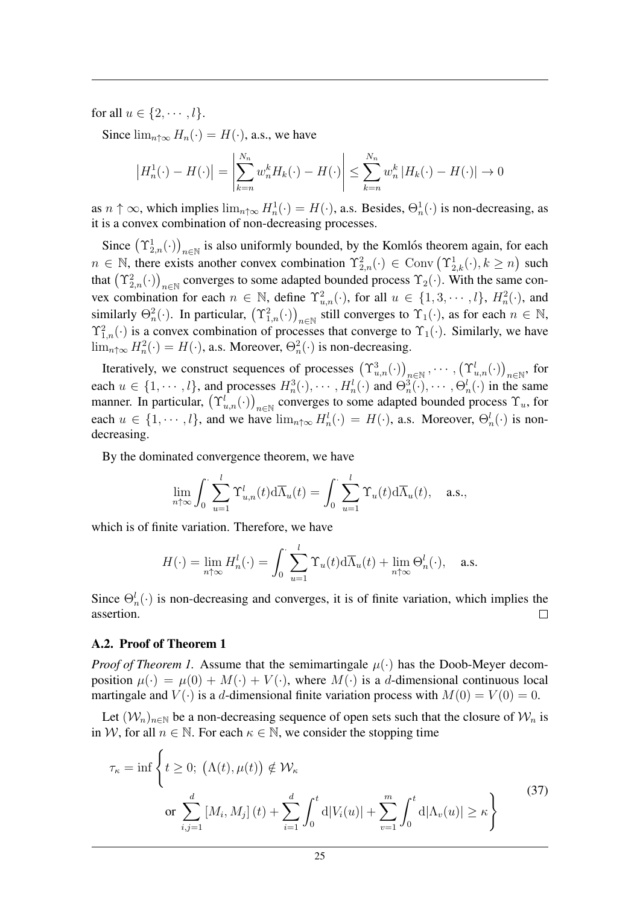for all  $u \in \{2, \cdots, l\}$ .

Since  $\lim_{n \uparrow \infty} H_n(\cdot) = H(\cdot)$ , a.s., we have

$$
\left|H_n^1(\cdot) - H(\cdot)\right| = \left|\sum_{k=n}^{N_n} w_n^k H_k(\cdot) - H(\cdot)\right| \le \sum_{k=n}^{N_n} w_n^k \left|H_k(\cdot) - H(\cdot)\right| \to 0
$$

as  $n \uparrow \infty$ , which implies  $\lim_{n \uparrow \infty} H_n^1(\cdot) = H(\cdot)$ , a.s. Besides,  $\Theta_n^1(\cdot)$  is non-decreasing, as it is a convex combination of non-decreasing processes.

Since  $(\Upsilon^1_{2,n}(\cdot))_{n\in\mathbb{N}}$  is also uniformly bounded, by the Komlós theorem again, for each  $n \in \mathbb{N}$ , there exists another convex combination  $\Upsilon_{2,n}^2(\cdot) \in \text{Conv}(\Upsilon_{2,k}^1(\cdot), k \ge n)$  such that  $(\Upsilon_{2,n}^2(\cdot))_{n\in\mathbb{N}}$  converges to some adapted bounded process  $\Upsilon_2(\cdot)$ . With the same convex combination for each  $n \in \mathbb{N}$ , define  $\Upsilon^2_{u,n}(\cdot)$ , for all  $u \in \{1, 3, \cdots, l\}$ ,  $H^2_n(\cdot)$ , and similarly  $\Theta_n^2(\cdot)$ . In particular,  $(\Upsilon_{1,n}^2(\cdot))_{n\in\mathbb{N}}$  still converges to  $\Upsilon_1(\cdot)$ , as for each  $n \in \mathbb{N}$ ,  $\Upsilon^2_{1,n}(\cdot)$  is a convex combination of processes that converge to  $\Upsilon_1(\cdot)$ . Similarly, we have  $\lim_{n \uparrow \infty} H_n^2(\cdot) = H(\cdot)$ , a.s. Moreover,  $\Theta_n^2(\cdot)$  is non-decreasing.

Iteratively, we construct sequences of processes  $(\Upsilon^3_{u,n}(\cdot))_{n\in\mathbb{N}},\dots,(\Upsilon^l_{u,n}(\cdot))_{n\in\mathbb{N}},$  for each  $u \in \{1, \dots, l\}$ , and processes  $H_n^3(\cdot), \dots, H_n^l(\cdot)$  and  $\Theta_n^3(\cdot), \dots, \Theta_n^l(\cdot)$  in the same manner. In particular,  $(\Upsilon_{u,n}^l(\cdot))_{n\in\mathbb{N}}$  converges to some adapted bounded process  $\Upsilon_u$ , for each  $u \in \{1, \dots, l\}$ , and we have  $\lim_{n \uparrow \infty} H_n^l(\cdot) = H(\cdot)$ , a.s. Moreover,  $\Theta_n^l(\cdot)$  is nondecreasing.

By the dominated convergence theorem, we have

$$
\lim_{n \uparrow \infty} \int_0^{\cdot} \sum_{u=1}^l \Upsilon_{u,n}^l(t) d\overline{\Lambda}_u(t) = \int_0^{\cdot} \sum_{u=1}^l \Upsilon_u(t) d\overline{\Lambda}_u(t), \quad \text{a.s.},
$$

which is of finite variation. Therefore, we have

$$
H(\cdot) = \lim_{n \uparrow \infty} H_n^l(\cdot) = \int_0^{\cdot} \sum_{u=1}^l \Upsilon_u(t) \mathrm{d} \overline{\Lambda}_u(t) + \lim_{n \uparrow \infty} \Theta_n^l(\cdot), \quad \text{a.s.}
$$

Since  $\Theta_n^l(\cdot)$  is non-decreasing and converges, it is of finite variation, which implies the assertion.  $\Box$ 

#### A.2. Proof of Theorem 1

*Proof of Theorem 1.* Assume that the semimartingale  $\mu(\cdot)$  has the Doob-Meyer decomposition  $\mu(\cdot) = \mu(0) + M(\cdot) + V(\cdot)$ , where  $M(\cdot)$  is a d-dimensional continuous local martingale and  $V(\cdot)$  is a d-dimensional finite variation process with  $M(0) = V(0) = 0$ .

Let  $(\mathcal{W}_n)_{n\in\mathbb{N}}$  be a non-decreasing sequence of open sets such that the closure of  $\mathcal{W}_n$  is in W, for all  $n \in \mathbb{N}$ . For each  $\kappa \in \mathbb{N}$ , we consider the stopping time

$$
\tau_{\kappa} = \inf \left\{ t \ge 0; \ (\Lambda(t), \mu(t)) \notin \mathcal{W}_{\kappa} \right\}
$$
  
or 
$$
\sum_{i,j=1}^{d} [M_i, M_j](t) + \sum_{i=1}^{d} \int_0^t d|V_i(u)| + \sum_{v=1}^{m} \int_0^t d|\Lambda_v(u)| \ge \kappa \right\}
$$
 (37)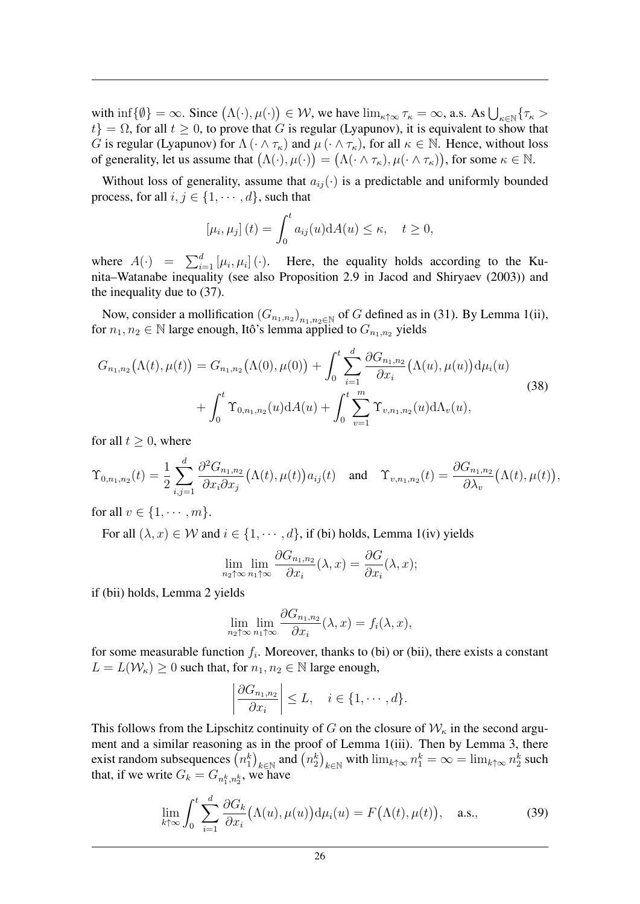with  $\inf \{\emptyset\} = \infty$ . Since  $(\Lambda(\cdot), \mu(\cdot)) \in \mathcal{W}$ , we have  $\lim_{\kappa \uparrow \infty} \tau_{\kappa} = \infty$ , a.s. As  $\bigcup_{\kappa \in \mathbb{N}} \{\tau_{\kappa} > \kappa\}$  $t$ } =  $\Omega$ , for all  $t \geq 0$ , to prove that G is regular (Lyapunov), it is equivalent to show that G is regular (Lyapunov) for  $\Lambda(\cdot \wedge \tau_{\kappa})$  and  $\mu(\cdot \wedge \tau_{\kappa})$ , for all  $\kappa \in \mathbb{N}$ . Hence, without loss of generality, let us assume that  $(\Lambda(\cdot), \mu(\cdot)) = (\Lambda(\cdot \wedge \tau_{\kappa}), \mu(\cdot \wedge \tau_{\kappa}))$ , for some  $\kappa \in \mathbb{N}$ .

Without loss of generality, assume that  $a_{ij}(\cdot)$  is a predictable and uniformly bounded process, for all  $i, j \in \{1, \dots, d\}$ , such that

$$
[\mu_i, \mu_j](t) = \int_0^t a_{ij}(u) dA(u) \le \kappa, \quad t \ge 0,
$$

where  $A(\cdot) = \sum_{i=1}^{d} [\mu_i, \mu_i] (\cdot)$ . Here, the equality holds according to the Kunita–Watanabe inequality (see also Proposition 2.9 in Jacod and Shiryaev (2003)) and the inequality due to (37).

Now, consider a mollification  $(G_{n_1,n_2})_{n_1,n_2\in\mathbb{N}}$  of G defined as in (31). By Lemma 1(ii), for  $n_1, n_2 \in \mathbb{N}$  large enough, Itô's lemma applied to  $G_{n_1,n_2}$  yields

$$
G_{n_1,n_2}(\Lambda(t),\mu(t)) = G_{n_1,n_2}(\Lambda(0),\mu(0)) + \int_0^t \sum_{i=1}^d \frac{\partial G_{n_1,n_2}}{\partial x_i}(\Lambda(u),\mu(u)) d\mu_i(u) + \int_0^t \Upsilon_{0,n_1,n_2}(u) dA(u) + \int_0^t \sum_{v=1}^m \Upsilon_{v,n_1,n_2}(u) d\Lambda_v(u),
$$
\n(38)

for all  $t \geq 0$ , where

$$
\Upsilon_{0,n_1,n_2}(t) = \frac{1}{2} \sum_{i,j=1}^d \frac{\partial^2 G_{n_1,n_2}}{\partial x_i \partial x_j} \big( \Lambda(t), \mu(t) \big) a_{ij}(t) \quad \text{and} \quad \Upsilon_{v,n_1,n_2}(t) = \frac{\partial G_{n_1,n_2}}{\partial \lambda_v} \big( \Lambda(t), \mu(t) \big),
$$

for all  $v \in \{1, \cdots, m\}$ .

For all  $(\lambda, x) \in \mathcal{W}$  and  $i \in \{1, \dots, d\}$ , if (bi) holds, Lemma 1(iv) yields

$$
\lim_{n_2 \uparrow \infty} \lim_{n_1 \uparrow \infty} \frac{\partial G_{n_1, n_2}}{\partial x_i}(\lambda, x) = \frac{\partial G}{\partial x_i}(\lambda, x);
$$

if (bii) holds, Lemma 2 yields

$$
\lim_{n_2 \uparrow \infty} \lim_{n_1 \uparrow \infty} \frac{\partial G_{n_1, n_2}}{\partial x_i}(\lambda, x) = f_i(\lambda, x),
$$

for some measurable function  $f_i$ . Moreover, thanks to (bi) or (bii), there exists a constant  $L = L(\mathcal{W}_{\kappa}) \geq 0$  such that, for  $n_1, n_2 \in \mathbb{N}$  large enough,

$$
\left|\frac{\partial G_{n_1,n_2}}{\partial x_i}\right| \le L, \quad i \in \{1, \cdots, d\}.
$$

This follows from the Lipschitz continuity of G on the closure of  $W_{\kappa}$  in the second argument and a similar reasoning as in the proof of Lemma 1(iii). Then by Lemma 3, there exist random subsequences  $(n_1^k)_{k \in \mathbb{N}}$  and  $(n_2^k)_{k \in \mathbb{N}}$  with  $\lim_{k \uparrow \infty} n_1^k = \infty = \lim_{k \uparrow \infty} n_2^k$  such that, if we write  $G_k = G_{n_1^k, n_2^k}$ , we have

$$
\lim_{k \uparrow \infty} \int_0^t \sum_{i=1}^d \frac{\partial G_k}{\partial x_i} \big( \Lambda(u), \mu(u) \big) \mathrm{d} \mu_i(u) = F\big( \Lambda(t), \mu(t) \big), \quad \text{a.s.,}
$$
 (39)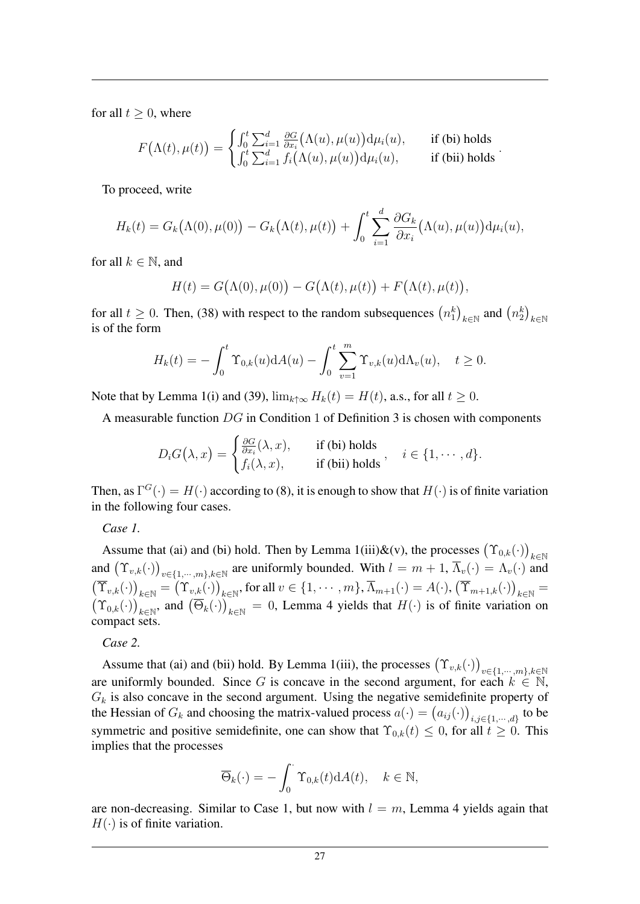for all  $t \geq 0$ , where

$$
F(\Lambda(t), \mu(t)) = \begin{cases} \int_0^t \sum_{i=1}^d \frac{\partial G}{\partial x_i}(\Lambda(u), \mu(u)) \mathrm{d} \mu_i(u), & \text{if (bi) holds} \\ \int_0^t \sum_{i=1}^d f_i(\Lambda(u), \mu(u)) \mathrm{d} \mu_i(u), & \text{if (bii) holds} \end{cases}.
$$

To proceed, write

$$
H_k(t) = G_k(\Lambda(0), \mu(0)) - G_k(\Lambda(t), \mu(t)) + \int_0^t \sum_{i=1}^d \frac{\partial G_k}{\partial x_i}(\Lambda(u), \mu(u)) d\mu_i(u),
$$

for all  $k \in \mathbb{N}$ , and

$$
H(t) = G(\Lambda(0), \mu(0)) - G(\Lambda(t), \mu(t)) + F(\Lambda(t), \mu(t)),
$$

for all  $t \ge 0$ . Then, (38) with respect to the random subsequences  $(n_1^k)_{k \in \mathbb{N}}$  and  $(n_2^k)_{k \in \mathbb{N}}$ is of the form

$$
H_k(t) = -\int_0^t \Upsilon_{0,k}(u) \mathrm{d}A(u) - \int_0^t \sum_{v=1}^m \Upsilon_{v,k}(u) \mathrm{d}\Lambda_v(u), \quad t \ge 0.
$$

Note that by Lemma 1(i) and (39),  $\lim_{k \uparrow \infty} H_k(t) = H(t)$ , a.s., for all  $t \ge 0$ .

A measurable function DG in Condition 1 of Definition 3 is chosen with components

$$
D_i G(\lambda, x) = \begin{cases} \frac{\partial G}{\partial x_i}(\lambda, x), & \text{if (bi) holds} \\ f_i(\lambda, x), & \text{if (bii) holds} \end{cases}, \quad i \in \{1, \cdots, d\}.
$$

Then, as  $\Gamma^G(\cdot) = H(\cdot)$  according to (8), it is enough to show that  $H(\cdot)$  is of finite variation in the following four cases.

*Case 1.*

Assume that (ai) and (bi) hold. Then by Lemma 1(iii)&(v), the processes  $(\Upsilon_{0,k}(\cdot))_{k \in \mathbb{N}}$ and  $(\Upsilon_{v,k}(\cdot))_{v\in\{1,\cdots,m\},k\in\mathbb{N}}$  are uniformly bounded. With  $l = m + 1$ ,  $\overline{\Lambda}_v(\cdot) = \Lambda_v(\cdot)$  and  $(\overline{\Upsilon}_{v,k}(\cdot))_{k\in\mathbb{N}} = (\Upsilon_{v,k}(\cdot))_{k\in\mathbb{N}}$ , for all  $v \in \{1, \cdots, m\}$ ,  $\overline{\Lambda}_{m+1}(\cdot) = A(\cdot)$ ,  $(\overline{\Upsilon}_{m+1,k}(\cdot))_{k\in\mathbb{N}} =$  $(\Upsilon_{0,k}(\cdot))_{k\in\mathbb{N}}$ , and  $(\overline{\Theta}_k(\cdot))_{k\in\mathbb{N}}=0$ , Lemma 4 yields that  $H(\cdot)$  is of finite variation on compact sets.

*Case 2.*

Assume that (ai) and (bii) hold. By Lemma 1(iii), the processes  $(\Upsilon_{v,k}(\cdot))_{v \in \{1,\cdots,m\},k \in \mathbb{N}}$ are uniformly bounded. Since G is concave in the second argument, for each  $k \in \mathbb{N}$ ,  $G_k$  is also concave in the second argument. Using the negative semidefinite property of the Hessian of  $G_k$  and choosing the matrix-valued process  $a(\cdot) = (a_{ij}(\cdot))_{i,j \in \{1,\dots,d\}}$  to be symmetric and positive semidefinite, one can show that  $\Upsilon_{0,k}(t) \leq 0$ , for all  $t \geq 0$ . This implies that the processes

$$
\overline{\Theta}_k(\cdot) = -\int_0^{\cdot} \Upsilon_{0,k}(t) \mathrm{d}A(t), \quad k \in \mathbb{N},
$$

are non-decreasing. Similar to Case 1, but now with  $l = m$ , Lemma 4 yields again that  $H(\cdot)$  is of finite variation.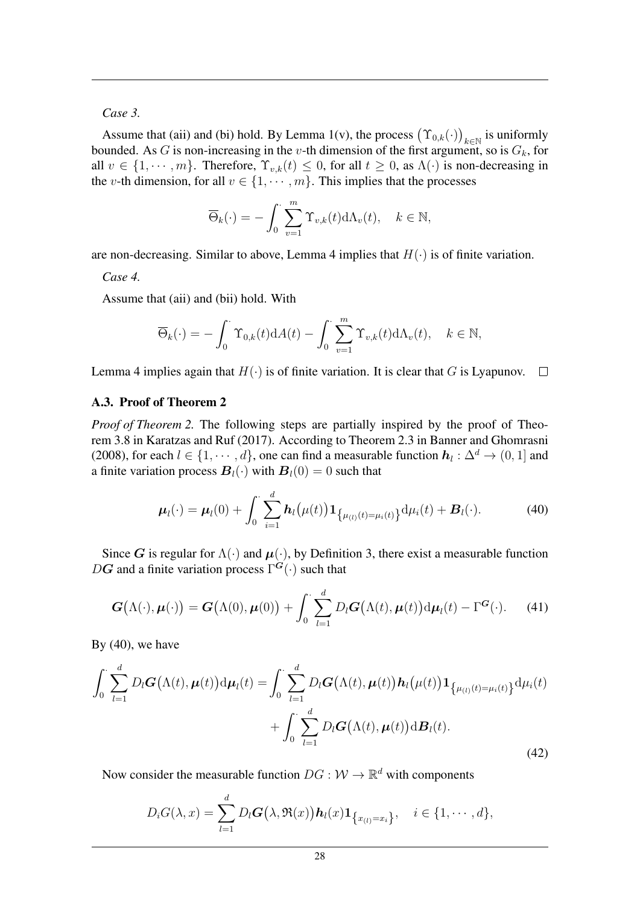*Case 3.*

Assume that (aii) and (bi) hold. By Lemma 1(v), the process  $(\Upsilon_{0,k}(\cdot))_{k \in \mathbb{N}}$  is uniformly bounded. As G is non-increasing in the v-th dimension of the first argument, so is  $G_k$ , for all  $v \in \{1, \dots, m\}$ . Therefore,  $\Upsilon_{v,k}(t) \leq 0$ , for all  $t \geq 0$ , as  $\Lambda(\cdot)$  is non-decreasing in the v-th dimension, for all  $v \in \{1, \dots, m\}$ . This implies that the processes

$$
\overline{\Theta}_k(\cdot) = -\int_0^{\cdot} \sum_{v=1}^m \Upsilon_{v,k}(t) d\Lambda_v(t), \quad k \in \mathbb{N},
$$

are non-decreasing. Similar to above, Lemma 4 implies that  $H(\cdot)$  is of finite variation.

*Case 4.*

Assume that (aii) and (bii) hold. With

$$
\overline{\Theta}_k(\cdot) = -\int_0^{\cdot} \Upsilon_{0,k}(t) \mathrm{d}A(t) - \int_0^{\cdot} \sum_{v=1}^m \Upsilon_{v,k}(t) \mathrm{d}\Lambda_v(t), \quad k \in \mathbb{N},
$$

Lemma 4 implies again that  $H(\cdot)$  is of finite variation. It is clear that G is Lyapunov.  $\Box$ 

## A.3. Proof of Theorem 2

*Proof of Theorem 2.* The following steps are partially inspired by the proof of Theorem 3.8 in Karatzas and Ruf (2017). According to Theorem 2.3 in Banner and Ghomrasni (2008), for each  $l \in \{1, \dots, d\}$ , one can find a measurable function  $h_l : \Delta^d \to (0, 1]$  and a finite variation process  $B_l(\cdot)$  with  $B_l(0) = 0$  such that

$$
\boldsymbol{\mu}_l(\cdot) = \boldsymbol{\mu}_l(0) + \int_0^{\cdot} \sum_{i=1}^d \boldsymbol{h}_l(\mu(t)) \mathbf{1}_{\{\mu_{(l)}(t) = \mu_i(t)\}} d\mu_i(t) + \boldsymbol{B}_l(\cdot). \tag{40}
$$

Since G is regular for  $\Lambda(\cdot)$  and  $\mu(\cdot)$ , by Definition 3, there exist a measurable function DG and a finite variation process  $\Gamma^G(\cdot)$  such that

$$
\boldsymbol{G}\big(\Lambda(\cdot),\boldsymbol{\mu}(\cdot)\big) = \boldsymbol{G}\big(\Lambda(0),\boldsymbol{\mu}(0)\big) + \int_0^{\cdot} \sum_{l=1}^d D_l \boldsymbol{G}\big(\Lambda(t),\boldsymbol{\mu}(t)\big) d\boldsymbol{\mu}_l(t) - \Gamma^{\boldsymbol{G}}(\cdot). \tag{41}
$$

By  $(40)$ , we have

$$
\int_0^{\cdot} \sum_{l=1}^d D_l \boldsymbol{G}(\Lambda(t), \boldsymbol{\mu}(t)) \mathrm{d} \boldsymbol{\mu}_l(t) = \int_0^{\cdot} \sum_{l=1}^d D_l \boldsymbol{G}(\Lambda(t), \boldsymbol{\mu}(t)) \boldsymbol{h}_l(\boldsymbol{\mu}(t)) \mathbf{1}_{\{\mu_{(l)}(t) = \mu_i(t)\}} \mathrm{d} \mu_i(t) + \int_0^{\cdot} \sum_{l=1}^d D_l \boldsymbol{G}(\Lambda(t), \boldsymbol{\mu}(t)) \mathrm{d} \boldsymbol{B}_l(t).
$$
\n(42)

Now consider the measurable function  $DG: W \to \mathbb{R}^d$  with components

$$
D_iG(\lambda, x) = \sum_{l=1}^d D_lG(\lambda, \mathfrak{R}(x))\mathbf{h}_l(x)\mathbf{1}_{\left\{x_{(l)}=x_i\right\}}, \quad i \in \{1, \cdots, d\},\
$$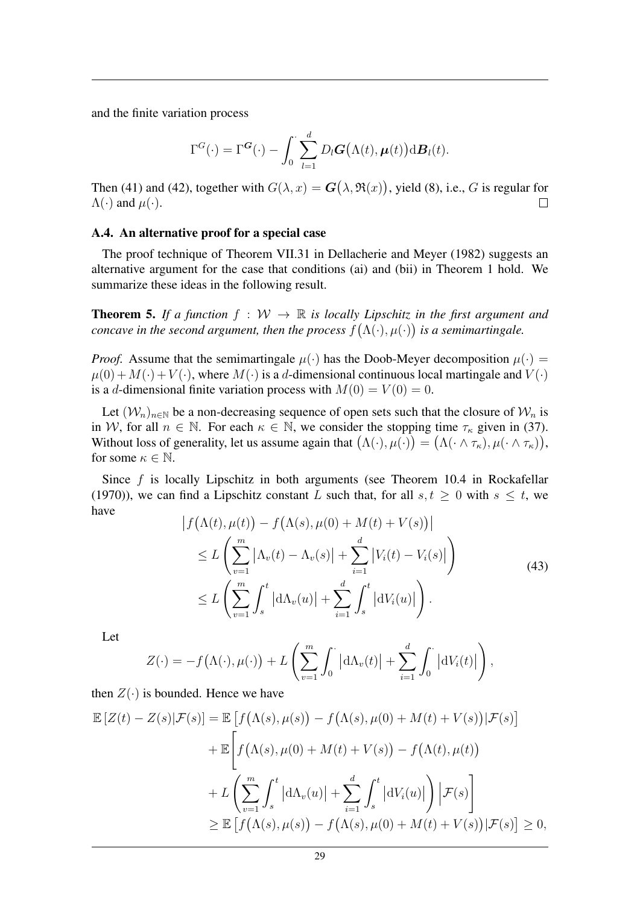and the finite variation process

$$
\Gamma^{G}(\cdot) = \Gamma^{G}(\cdot) - \int_0^{\cdot} \sum_{l=1}^d D_l G(\Lambda(t), \boldsymbol{\mu}(t)) \mathrm{d} \boldsymbol{B}_l(t).
$$

Then (41) and (42), together with  $G(\lambda, x) = \mathbf{G}(\lambda, \Re(x))$ , yield (8), i.e., G is regular for  $\Lambda(\cdot)$  and  $\mu(\cdot)$ .  $\Box$ 

### A.4. An alternative proof for a special case

The proof technique of Theorem VII.31 in Dellacherie and Meyer (1982) suggests an alternative argument for the case that conditions (ai) and (bii) in Theorem 1 hold. We summarize these ideas in the following result.

**Theorem 5.** If a function  $f : W \to \mathbb{R}$  is locally Lipschitz in the first argument and *concave in the second argument, then the process*  $f(\Lambda(\cdot), \mu(\cdot))$  *is a semimartingale.* 

*Proof.* Assume that the semimartingale  $\mu(\cdot)$  has the Doob-Meyer decomposition  $\mu(\cdot)$  =  $\mu(0) + M(\cdot) + V(\cdot)$ , where  $M(\cdot)$  is a d-dimensional continuous local martingale and  $V(\cdot)$ is a d-dimensional finite variation process with  $M(0) = V(0) = 0$ .

Let  $(W_n)_{n\in\mathbb{N}}$  be a non-decreasing sequence of open sets such that the closure of  $W_n$  is in W, for all  $n \in \mathbb{N}$ . For each  $\kappa \in \mathbb{N}$ , we consider the stopping time  $\tau_{\kappa}$  given in (37). Without loss of generality, let us assume again that  $(\Lambda(\cdot), \mu(\cdot)) = (\Lambda(\cdot \wedge \tau_{\kappa}), \mu(\cdot \wedge \tau_{\kappa})),$ for some  $\kappa \in \mathbb{N}$ .

Since  $f$  is locally Lipschitz in both arguments (see Theorem 10.4 in Rockafellar (1970)), we can find a Lipschitz constant L such that, for all  $s, t \geq 0$  with  $s \leq t$ , we have

$$
\left| f(\Lambda(t), \mu(t)) - f(\Lambda(s), \mu(0) + M(t) + V(s)) \right|
$$
  
\n
$$
\leq L \left( \sum_{v=1}^{m} |\Lambda_v(t) - \Lambda_v(s)| + \sum_{i=1}^{d} |V_i(t) - V_i(s)| \right)
$$
  
\n
$$
\leq L \left( \sum_{v=1}^{m} \int_s^t |d\Lambda_v(u)| + \sum_{i=1}^{d} \int_s^t |dV_i(u)| \right).
$$
\n(43)

Let

$$
Z(\cdot) = -f(\Lambda(\cdot), \mu(\cdot)) + L\left(\sum_{v=1}^m \int_0^{\cdot} |\mathrm{d}\Lambda_v(t)| + \sum_{i=1}^d \int_0^{\cdot} |\mathrm{d}V_i(t)|\right),
$$

then  $Z(\cdot)$  is bounded. Hence we have

$$
\mathbb{E}\left[Z(t) - Z(s)|\mathcal{F}(s)\right] = \mathbb{E}\left[f\left(\Lambda(s), \mu(s)\right) - f\left(\Lambda(s), \mu(0) + M(t) + V(s)\right)|\mathcal{F}(s)\right]
$$

$$
+ \mathbb{E}\left[f\left(\Lambda(s), \mu(0) + M(t) + V(s)\right) - f\left(\Lambda(t), \mu(t)\right)\right]
$$

$$
+ L\left(\sum_{v=1}^{m} \int_{s}^{t} \left|d\Lambda_{v}(u)\right| + \sum_{i=1}^{d} \int_{s}^{t} \left|dV_{i}(u)\right|\right) \left|\mathcal{F}(s)\right]
$$

$$
\geq \mathbb{E}\left[f\left(\Lambda(s), \mu(s)\right) - f\left(\Lambda(s), \mu(0) + M(t) + V(s)\right)|\mathcal{F}(s)\right] \geq 0,
$$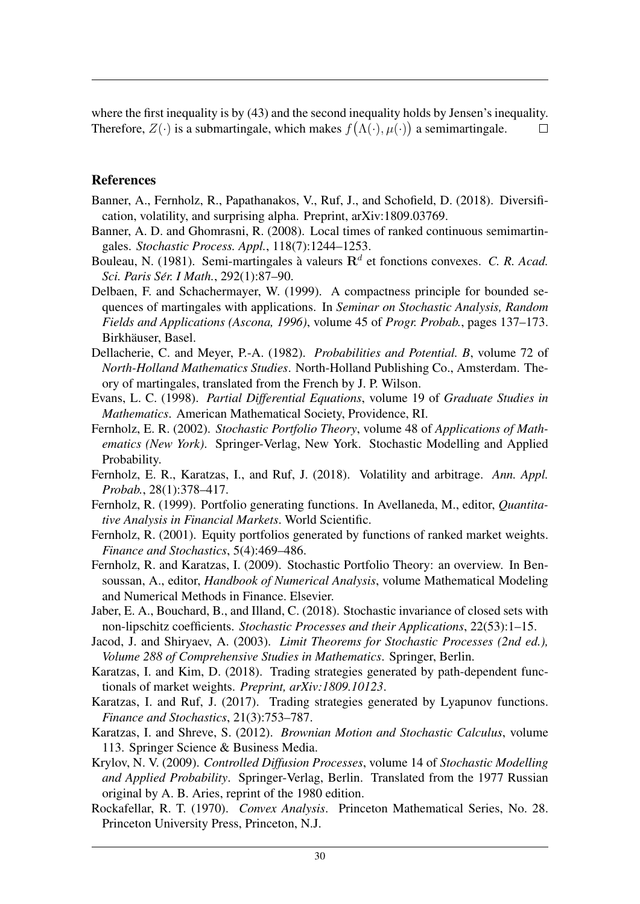where the first inequality is by (43) and the second inequality holds by Jensen's inequality. Therefore,  $Z(\cdot)$  is a submartingale, which makes  $f(\Lambda(\cdot), \mu(\cdot))$  a semimartingale.  $\Box$ 

# References

- Banner, A., Fernholz, R., Papathanakos, V., Ruf, J., and Schofield, D. (2018). Diversification, volatility, and surprising alpha. Preprint, arXiv:1809.03769.
- Banner, A. D. and Ghomrasni, R. (2008). Local times of ranked continuous semimartingales. *Stochastic Process. Appl.*, 118(7):1244–1253.
- Bouleau, N. (1981). Semi-martingales à valeurs  $\mathbb{R}^d$  et fonctions convexes. *C. R. Acad. Sci. Paris Ser. I Math. ´* , 292(1):87–90.
- Delbaen, F. and Schachermayer, W. (1999). A compactness principle for bounded sequences of martingales with applications. In *Seminar on Stochastic Analysis, Random Fields and Applications (Ascona, 1996)*, volume 45 of *Progr. Probab.*, pages 137–173. Birkhäuser, Basel.
- Dellacherie, C. and Meyer, P.-A. (1982). *Probabilities and Potential. B*, volume 72 of *North-Holland Mathematics Studies*. North-Holland Publishing Co., Amsterdam. Theory of martingales, translated from the French by J. P. Wilson.
- Evans, L. C. (1998). *Partial Differential Equations*, volume 19 of *Graduate Studies in Mathematics*. American Mathematical Society, Providence, RI.
- Fernholz, E. R. (2002). *Stochastic Portfolio Theory*, volume 48 of *Applications of Mathematics (New York)*. Springer-Verlag, New York. Stochastic Modelling and Applied Probability.
- Fernholz, E. R., Karatzas, I., and Ruf, J. (2018). Volatility and arbitrage. *Ann. Appl. Probab.*, 28(1):378–417.
- Fernholz, R. (1999). Portfolio generating functions. In Avellaneda, M., editor, *Quantitative Analysis in Financial Markets*. World Scientific.
- Fernholz, R. (2001). Equity portfolios generated by functions of ranked market weights. *Finance and Stochastics*, 5(4):469–486.
- Fernholz, R. and Karatzas, I. (2009). Stochastic Portfolio Theory: an overview. In Bensoussan, A., editor, *Handbook of Numerical Analysis*, volume Mathematical Modeling and Numerical Methods in Finance. Elsevier.
- Jaber, E. A., Bouchard, B., and Illand, C. (2018). Stochastic invariance of closed sets with non-lipschitz coefficients. *Stochastic Processes and their Applications*, 22(53):1–15.
- Jacod, J. and Shiryaev, A. (2003). *Limit Theorems for Stochastic Processes (2nd ed.), Volume 288 of Comprehensive Studies in Mathematics*. Springer, Berlin.
- Karatzas, I. and Kim, D. (2018). Trading strategies generated by path-dependent functionals of market weights. *Preprint, arXiv:1809.10123*.
- Karatzas, I. and Ruf, J. (2017). Trading strategies generated by Lyapunov functions. *Finance and Stochastics*, 21(3):753–787.
- Karatzas, I. and Shreve, S. (2012). *Brownian Motion and Stochastic Calculus*, volume 113. Springer Science & Business Media.
- Krylov, N. V. (2009). *Controlled Diffusion Processes*, volume 14 of *Stochastic Modelling and Applied Probability*. Springer-Verlag, Berlin. Translated from the 1977 Russian original by A. B. Aries, reprint of the 1980 edition.
- Rockafellar, R. T. (1970). *Convex Analysis*. Princeton Mathematical Series, No. 28. Princeton University Press, Princeton, N.J.